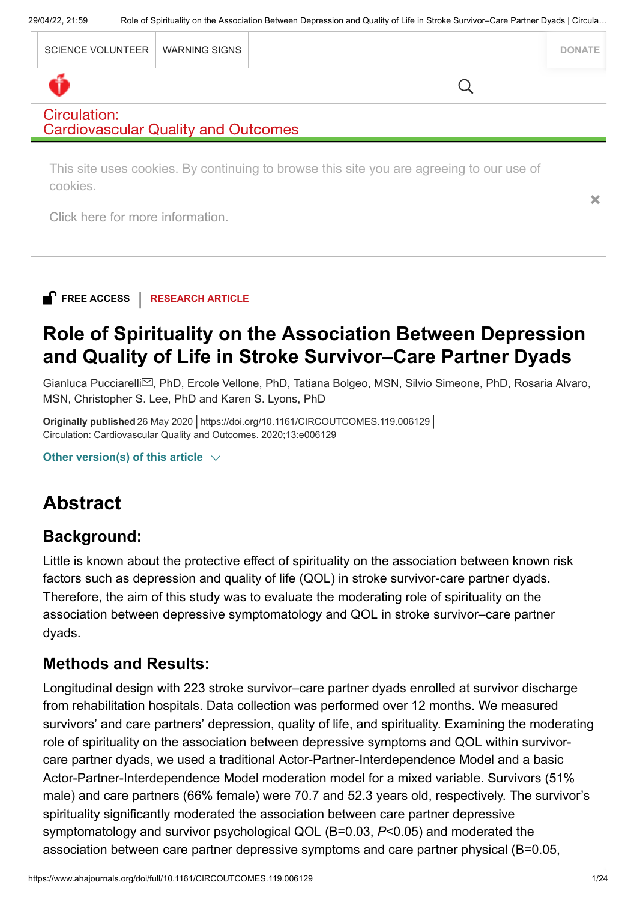| SCIENCE VOLUNTEER   WARNING SIGNS |  | <b>DONATE</b> |
|-----------------------------------|--|---------------|
|                                   |  |               |
| <b>Circulation:</b>               |  |               |

## **Cardiovascular Quality and Outcomes**

This site uses cookies. By continuing to browse this site you are agreeing to our use of cookies.

[Click here for more information.](https://journals.lww.com/_layouts/15/oaks.journals/privacy.aspx)

**FREE ACCESS** | **RESEARCH ARTICLE** 

# **Role of Spirituality on the Association Between Depression and Quality of Life in Stroke Survivor–Care Partner Dyads**

Gianluca Pucciarelli $\boxdot$ , PhD, Ercole Vellone, PhD, Tatiana Bolgeo, MSN, Silvio Simeone, PhD, Rosaria Alvaro, MSN, Christopher S. Lee, PhD and Karen S. Lyons, PhD

Circulation: Cardiovascular Quality and Outcomes. 2020;13:e006129

**Other version(s) of this article**

# **Abstract**

#### **Background:**

Little is known about the protective effect of spirituality on the association between known risk factors such as depression and quality of life (QOL) in stroke survivor-care partner dyads. Therefore, the aim of this study was to evaluate the moderating role of spirituality on the association between depressive symptomatology and QOL in stroke survivor–care partner dyads.

#### **Methods and Results:**

Longitudinal design with 223 stroke survivor–care partner dyads enrolled at survivor discharge from rehabilitation hospitals. Data collection was performed over 12 months. We measured survivors' and care partners' depression, quality of life, and spirituality. Examining the moderating role of spirituality on the association between depressive symptoms and QOL within survivorcare partner dyads, we used a traditional Actor-Partner-Interdependence Model and a basic Actor-Partner-Interdependence Model moderation model for a mixed variable. Survivors (51% male) and care partners (66% female) were 70.7 and 52.3 years old, respectively. The survivor's spirituality significantly moderated the association between care partner depressive symptomatology and survivor psychological QOL (B=0.03, *P*<0.05) and moderated the **and continuosity and care partner depressive symptoms and care partner physical (B=0.05, and care partner physical (B=0.05, and care partner depression and quality on the association between known that<br>actors such as depr** 

**×**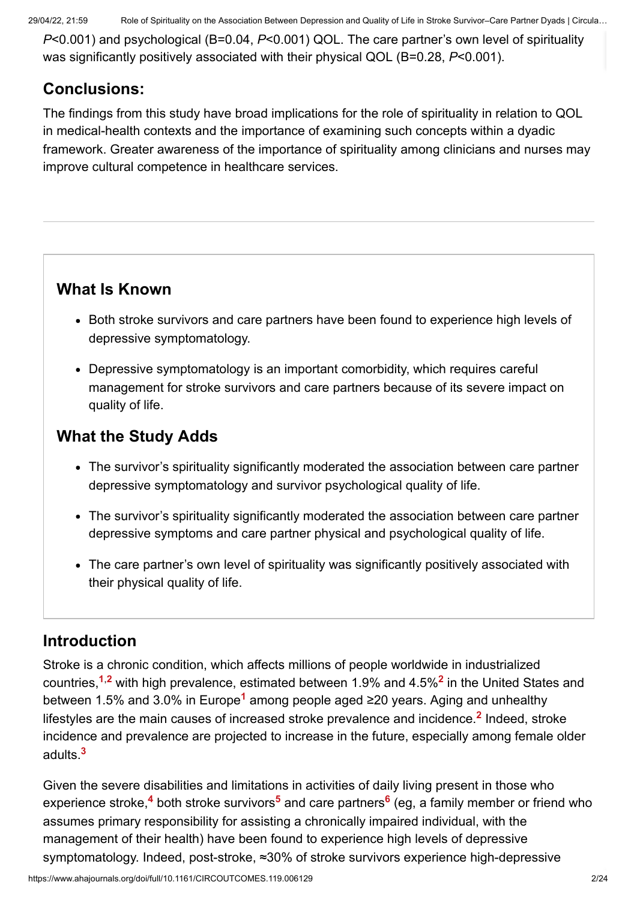29/04/22, 21:59 Role of Spirituality on the Association Between Depression and Quality of Life in Stroke Survivor–Care Partner Dyads | Circula…

*P*<0.001) and psychological (B=0.04, *P*<0.001) QOL. The care partner's own level of spirituality was significantly positively associated with their physical QOL (B=0.28, *P*<0.001).

## **Conclusions:**

The findings from this study have broad implications for the role of spirituality in relation to QOL in medical-health contexts and the importance of examining such concepts within a dyadic framework. Greater awareness of the importance of spirituality among clinicians and nurses may improve cultural competence in healthcare services.

# **What Is Known**

- Both stroke survivors and care partners have been found to experience high levels of depressive symptomatology.
- Depressive symptomatology is an important comorbidity, which requires careful management for stroke survivors and care partners because of its severe impact on quality of life.

# **What the Study Adds**

- The survivor's spirituality significantly moderated the association between care partner depressive symptomatology and survivor psychological quality of life.
- The survivor's spirituality significantly moderated the association between care partner depressive symptoms and care partner physical and psychological quality of life.
- The care partner's own level of spirituality was significantly positively associated with their physical quality of life.

# **Introduction**

<span id="page-1-1"></span><span id="page-1-0"></span>Stroke is a chronic condition, which affects millions of people worldwide in industrialized countries,<sup>1,2</sup> with high prevalence, estimated between 1.9% and 4.5%<sup>2</sup> in the United States and between 1.5% and 3.0% in Europe<sup>1</sup> among people aged ≥20 years. Aging and unhealthy lifestyles are the main causes of increased stroke prevalence and incidence.<sup>2</sup> Indeed, stroke incidence and prevalence are projected to increase in the future, especially among female older adults. **3**

<span id="page-1-8"></span><span id="page-1-7"></span><span id="page-1-6"></span><span id="page-1-5"></span><span id="page-1-4"></span><span id="page-1-3"></span><span id="page-1-2"></span>Given the severe disabilities and limitations in activities of daily living present in those who experience stroke,<sup>4</sup> both stroke survivors<sup>5</sup> and care partners<sup>6</sup> (eg, a family member or friend who assumes primary responsibility for assisting a chronically impaired individual, with the management of their health) have been found to experience high levels of depressive symptomatology. Indeed, post-stroke, ≈30% of stroke survivors experience high-depressive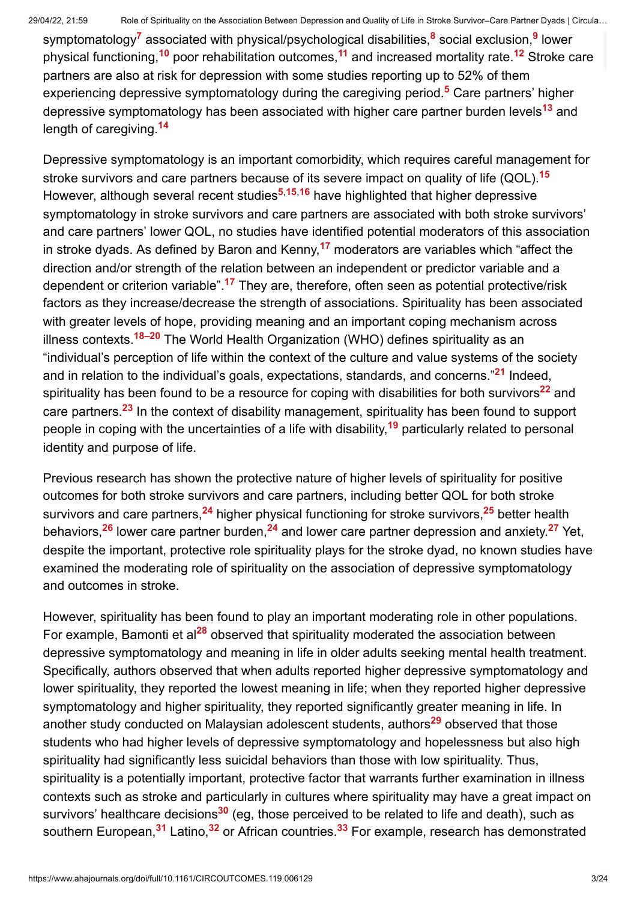<span id="page-2-2"></span><span id="page-2-1"></span><span id="page-2-0"></span> $\cdot$  symptomatology<sup>7</sup> associated with physical/psychological disabilities, $^{\bf 8}$  social exclusion, $^{\bf 9}$  lower physical functioning,<sup>10</sup> poor rehabilitation outcomes,<sup>11</sup> and increased mortality rate.<sup>12</sup> Stroke care partners are also at risk for depression with some studies reporting up to 52% of them experiencing depressive symptomatology during the caregiving period.<sup>5</sup> Care partners' higher depressive symptomatology has been associated with higher care partner burden levels<sup>13</sup> and length of caregiving. **14**

<span id="page-2-7"></span><span id="page-2-6"></span><span id="page-2-5"></span><span id="page-2-4"></span><span id="page-2-3"></span>Depressive symptomatology is an important comorbidity, which requires careful management for stroke survivors and care partners because of its severe impact on quality of life (QOL). **15** However, although several recent studies<sup>5,15,16</sup> have highlighted that higher depressive symptomatology in stroke survivors and care partners are associated with both stroke survivors' and care partners' lower QOL, no studies have identified potential moderators of this association in stroke dyads. As defined by Baron and Kenny,<sup>17</sup> moderators are variables which "affect the direction and/or strength of the relation between an independent or predictor variable and a dependent or criterion variable".<sup>17</sup> They are, therefore, often seen as potential protective/risk factors as they increase/decrease the strength of associations. Spirituality has been associated with greater levels of hope, providing meaning and an important coping mechanism across illness contexts.<sup>18–20</sup> The World Health Organization (WHO) defines spirituality as an "individual's perception of life within the context of the culture and value systems of the society and in relation to the individual's goals, expectations, standards, and concerns."<sup>21</sup> Indeed, spirituality has been found to be a resource for coping with disabilities for both survivors<sup>22</sup> and care partners.<sup>23</sup> In the context of disability management, spirituality has been found to support people in coping with the uncertainties of a life with disability,<sup>19</sup> particularly related to personal identity and purpose of life.

<span id="page-2-15"></span><span id="page-2-14"></span><span id="page-2-13"></span><span id="page-2-12"></span><span id="page-2-11"></span><span id="page-2-10"></span><span id="page-2-9"></span><span id="page-2-8"></span>Previous research has shown the protective nature of higher levels of spirituality for positive outcomes for both stroke survivors and care partners, including better QOL for both stroke survivors and care partners,<sup>24</sup> higher physical functioning for stroke survivors,<sup>25</sup> better health behaviors,<sup>26</sup> lower care partner burden,<sup>24</sup> and lower care partner depression and anxiety.<sup>27</sup> Yet, despite the important, protective role spirituality plays for the stroke dyad, no known studies have examined the moderating role of spirituality on the association of depressive symptomatology and outcomes in stroke.

<span id="page-2-22"></span><span id="page-2-21"></span><span id="page-2-20"></span><span id="page-2-19"></span><span id="page-2-18"></span><span id="page-2-17"></span><span id="page-2-16"></span>However, spirituality has been found to play an important moderating role in other populations. For example, Bamonti et al<sup>28</sup> observed that spirituality moderated the association between depressive symptomatology and meaning in life in older adults seeking mental health treatment. Specifically, authors observed that when adults reported higher depressive symptomatology and lower spirituality, they reported the lowest meaning in life; when they reported higher depressive symptomatology and higher spirituality, they reported significantly greater meaning in life. In another study conducted on Malaysian adolescent students, authors<sup>29</sup> observed that those students who had higher levels of depressive symptomatology and hopelessness but also high spirituality had significantly less suicidal behaviors than those with low spirituality. Thus, spirituality is a potentially important, protective factor that warrants further examination in illness contexts such as stroke and particularly in cultures where spirituality may have a great impact on survivors' healthcare decisions<sup>30</sup> (eg, those perceived to be related to life and death), such as southern European,<sup>31</sup> Latino,<sup>32</sup> or African countries.<sup>33</sup> For example, research has demonstrated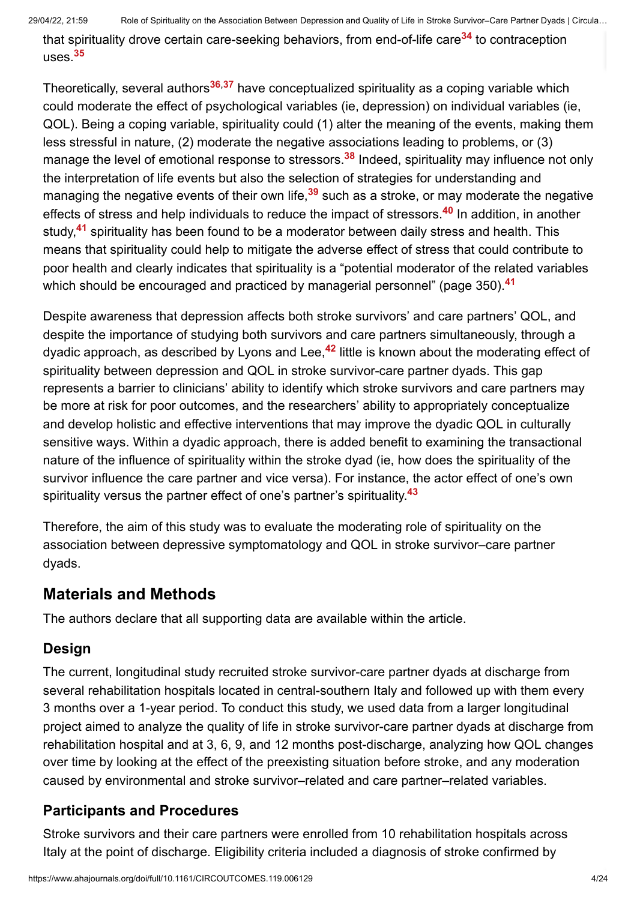29/04/22, 21:59 Role of Spirituality on the Association Between Depression and Quality of Life in Stroke Survivor–Care Partner Dyads | Circula…

<span id="page-3-0"></span>that spirituality drove certain care-seeking behaviors, from end-of-life care<sup>34</sup> to contraception uses. **35**

<span id="page-3-4"></span><span id="page-3-3"></span><span id="page-3-2"></span><span id="page-3-1"></span>Theoretically, several authors<sup>36,37</sup> have conceptualized spirituality as a coping variable which could moderate the effect of psychological variables (ie, depression) on individual variables (ie, QOL). Being a coping variable, spirituality could (1) alter the meaning of the events, making them less stressful in nature, (2) moderate the negative associations leading to problems, or (3) manage the level of emotional response to stressors.<sup>38</sup> Indeed, spirituality may influence not only the interpretation of life events but also the selection of strategies for understanding and managing the negative events of their own life,<sup>39</sup> such as a stroke, or may moderate the negative effects of stress and help individuals to reduce the impact of stressors.<sup>40</sup> In addition, in another study,<sup>41</sup> spirituality has been found to be a moderator between daily stress and health. This means that spirituality could help to mitigate the adverse effect of stress that could contribute to poor health and clearly indicates that spirituality is a "potential moderator of the related variables which should be encouraged and practiced by managerial personnel" (page 350). **41**

<span id="page-3-7"></span><span id="page-3-6"></span><span id="page-3-5"></span>Despite awareness that depression affects both stroke survivors' and care partners' QOL, and despite the importance of studying both survivors and care partners simultaneously, through a dyadic approach, as described by Lyons and Lee,<sup>42</sup> little is known about the moderating effect of spirituality between depression and QOL in stroke survivor-care partner dyads. This gap represents a barrier to clinicians' ability to identify which stroke survivors and care partners may be more at risk for poor outcomes, and the researchers' ability to appropriately conceptualize and develop holistic and effective interventions that may improve the dyadic QOL in culturally sensitive ways. Within a dyadic approach, there is added benefit to examining the transactional nature of the influence of spirituality within the stroke dyad (ie, how does the spirituality of the survivor influence the care partner and vice versa). For instance, the actor effect of one's own spirituality versus the partner effect of one's partner's spirituality. **43**

<span id="page-3-8"></span>Therefore, the aim of this study was to evaluate the moderating role of spirituality on the association between depressive symptomatology and QOL in stroke survivor–care partner dyads.

## **Materials and Methods**

The authors declare that all supporting data are available within the article.

#### **Design**

The current, longitudinal study recruited stroke survivor-care partner dyads at discharge from several rehabilitation hospitals located in central-southern Italy and followed up with them every 3 months over a 1-year period. To conduct this study, we used data from a larger longitudinal project aimed to analyze the quality of life in stroke survivor-care partner dyads at discharge from rehabilitation hospital and at 3, 6, 9, and 12 months post-discharge, analyzing how QOL changes over time by looking at the effect of the preexisting situation before stroke, and any moderation caused by environmental and stroke survivor–related and care partner–related variables.

## **Participants and Procedures**

Stroke survivors and their care partners were enrolled from 10 rehabilitation hospitals across Italy at the point of discharge. Eligibility criteria included a diagnosis of stroke confirmed by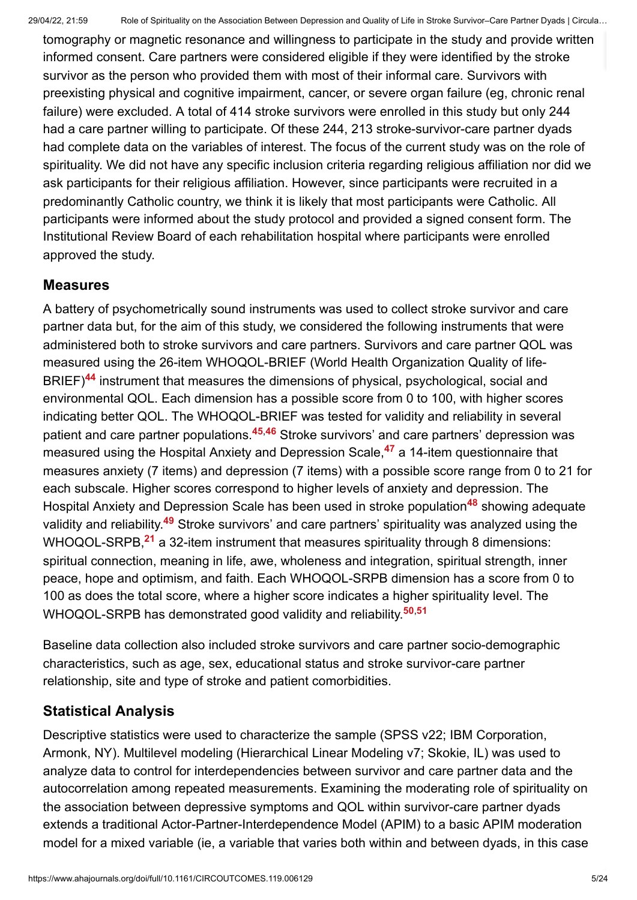tomography or magnetic resonance and willingness to participate in the study and provide written informed consent. Care partners were considered eligible if they were identified by the stroke survivor as the person who provided them with most of their informal care. Survivors with preexisting physical and cognitive impairment, cancer, or severe organ failure (eg, chronic renal failure) were excluded. A total of 414 stroke survivors were enrolled in this study but only 244 had a care partner willing to participate. Of these 244, 213 stroke-survivor-care partner dyads had complete data on the variables of interest. The focus of the current study was on the role of spirituality. We did not have any specific inclusion criteria regarding religious affiliation nor did we ask participants for their religious affiliation. However, since participants were recruited in a predominantly Catholic country, we think it is likely that most participants were Catholic. All participants were informed about the study protocol and provided a signed consent form. The Institutional Review Board of each rehabilitation hospital where participants were enrolled approved the study.

#### **Measures**

<span id="page-4-3"></span><span id="page-4-2"></span><span id="page-4-1"></span><span id="page-4-0"></span>A battery of psychometrically sound instruments was used to collect stroke survivor and care partner data but, for the aim of this study, we considered the following instruments that were administered both to stroke survivors and care partners. Survivors and care partner QOL was measured using the 26-item WHOQOL-BRIEF (World Health Organization Quality of life-BRIEF)<sup>44</sup> instrument that measures the dimensions of physical, psychological, social and environmental QOL. Each dimension has a possible score from 0 to 100, with higher scores indicating better QOL. The WHOQOL-BRIEF was tested for validity and reliability in several patient and care partner populations.<sup>45,46</sup> Stroke survivors' and care partners' depression was measured using the Hospital Anxiety and Depression Scale,<sup>47</sup> a 14-item questionnaire that measures anxiety (7 items) and depression (7 items) with a possible score range from 0 to 21 for each subscale. Higher scores correspond to higher levels of anxiety and depression. The Hospital Anxiety and Depression Scale has been used in stroke population<sup>48</sup> showing adequate validity and reliability.<sup>49</sup> Stroke survivors' and care partners' spirituality was analyzed using the WHOQOL-SRPB,<sup>21</sup> a 32-item instrument that measures spirituality through 8 dimensions: spiritual connection, meaning in life, awe, wholeness and integration, spiritual strength, inner peace, hope and optimism, and faith. Each WHOQOL-SRPB dimension has a score from 0 to 100 as does the total score, where a higher score indicates a higher spirituality level. The WHOQOL-SRPB has demonstrated good validity and reliability. **50**,**51**

<span id="page-4-7"></span><span id="page-4-6"></span><span id="page-4-5"></span><span id="page-4-4"></span>Baseline data collection also included stroke survivors and care partner socio-demographic characteristics, such as age, sex, educational status and stroke survivor-care partner relationship, site and type of stroke and patient comorbidities.

## **Statistical Analysis**

Descriptive statistics were used to characterize the sample (SPSS v22; IBM Corporation, Armonk, NY). Multilevel modeling (Hierarchical Linear Modeling v7; Skokie, IL) was used to analyze data to control for interdependencies between survivor and care partner data and the autocorrelation among repeated measurements. Examining the moderating role of spirituality on the association between depressive symptoms and QOL within survivor-care partner dyads extends a traditional Actor-Partner-Interdependence Model (APIM) to a basic APIM moderation model for a mixed variable (ie, a variable that varies both within and between dyads, in this case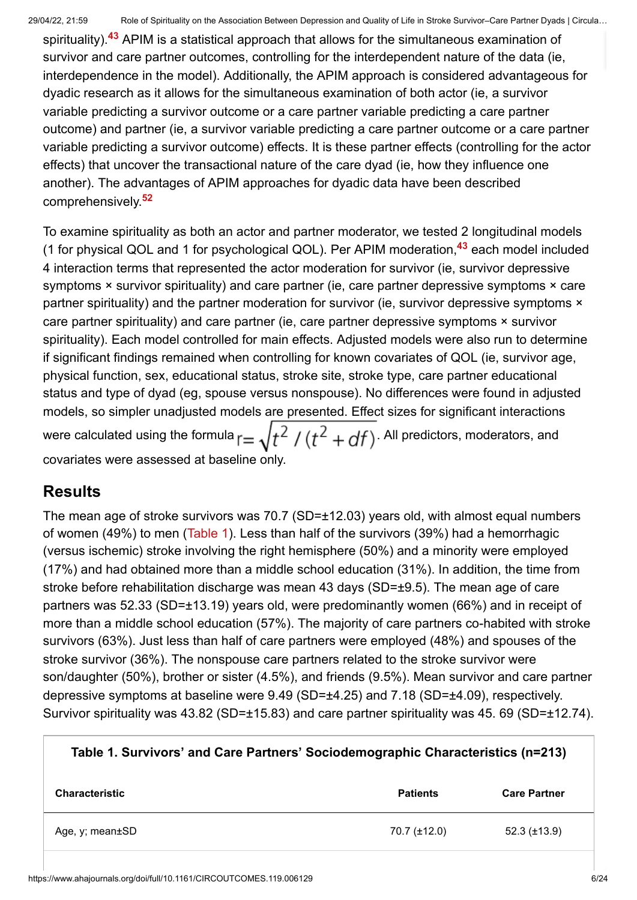spirituality).<sup>43</sup> APIM is a statistical approach that allows for the simultaneous examination of survivor and care partner outcomes, controlling for the interdependent nature of the data (ie, interdependence in the model). Additionally, the APIM approach is considered advantageous for dyadic research as it allows for the simultaneous examination of both actor (ie, a survivor variable predicting a survivor outcome or a care partner variable predicting a care partner outcome) and partner (ie, a survivor variable predicting a care partner outcome or a care partner variable predicting a survivor outcome) effects. It is these partner effects (controlling for the actor effects) that uncover the transactional nature of the care dyad (ie, how they influence one another). The advantages of APIM approaches for dyadic data have been described comprehensively. **52**

<span id="page-5-1"></span>To examine spirituality as both an actor and partner moderator, we tested 2 longitudinal models (1 for physical QOL and 1 for psychological QOL). Per APIM moderation,<sup>43</sup> each model included 4 interaction terms that represented the actor moderation for survivor (ie, survivor depressive symptoms x survivor spirituality) and care partner (ie, care partner depressive symptoms x care partner spirituality) and the partner moderation for survivor (ie, survivor depressive symptoms  $\times$ care partner spirituality) and care partner (ie, care partner depressive symptoms × survivor spirituality). Each model controlled for main effects. Adjusted models were also run to determine if significant findings remained when controlling for known covariates of QOL (ie, survivor age, physical function, sex, educational status, stroke site, stroke type, care partner educational status and type of dyad (eg, spouse versus nonspouse). No differences were found in adjusted models, so simpler unadjusted models are presented. Effect sizes for significant interactions were calculated using the formula  $\eta = \sqrt{t^2 / (t^2 + df)}$ . All predictors, moderators, and covariates were assessed at baseline only.

## **Results**

<span id="page-5-0"></span>The mean age of stroke survivors was 70.7 (SD=±12.03) years old, with almost equal numbers of women (49%) to men ([Table 1\)](#page-5-0). Less than half of the survivors (39%) had a hemorrhagic (versus ischemic) stroke involving the right hemisphere (50%) and a minority were employed (17%) and had obtained more than a middle school education (31%). In addition, the time from stroke before rehabilitation discharge was mean 43 days (SD=±9.5). The mean age of care partners was 52.33 (SD=±13.19) years old, were predominantly women (66%) and in receipt of more than a middle school education (57%). The majority of care partners co-habited with stroke survivors (63%). Just less than half of care partners were employed (48%) and spouses of the stroke survivor (36%). The nonspouse care partners related to the stroke survivor were son/daughter (50%), brother or sister (4.5%), and friends (9.5%). Mean survivor and care partner depressive symptoms at baseline were 9.49 (SD=±4.25) and 7.18 (SD=±4.09), respectively. Survivor spirituality was 43.82 (SD=±15.83) and care partner spirituality was 45. 69 (SD=±12.74).

| Table 1. Survivors' and Care Partners' Sociodemographic Characteristics (n=213) |                 |                     |  |
|---------------------------------------------------------------------------------|-----------------|---------------------|--|
| <b>Characteristic</b>                                                           | <b>Patients</b> | <b>Care Partner</b> |  |
| Age, y; mean±SD                                                                 | 70.7 (±12.0)    | $52.3 \ (\pm 13.9)$ |  |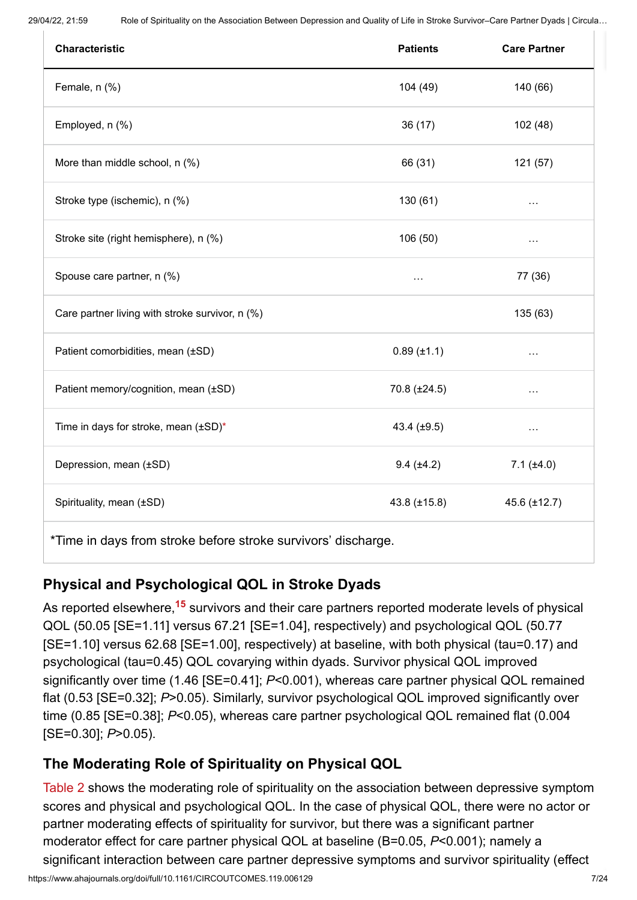| <b>Characteristic</b>                                         | <b>Patients</b>   | <b>Care Partner</b> |  |
|---------------------------------------------------------------|-------------------|---------------------|--|
| Female, n (%)                                                 | 104 (49)          | 140 (66)            |  |
| Employed, n (%)                                               | 36(17)            | 102 (48)            |  |
| More than middle school, n (%)                                | 66 (31)           | 121 (57)            |  |
| Stroke type (ischemic), n (%)                                 | 130 (61)          | $\ldots$            |  |
| Stroke site (right hemisphere), n (%)                         | 106 (50)          | $\ldots$            |  |
| Spouse care partner, n (%)                                    | $\cdots$          | 77 (36)             |  |
| Care partner living with stroke survivor, n (%)               |                   | 135 (63)            |  |
| Patient comorbidities, mean (±SD)                             | $0.89$ (±1.1)     | $\ldots$            |  |
| Patient memory/cognition, mean (±SD)                          | 70.8 (±24.5)      | $\sim$ .            |  |
| Time in days for stroke, mean (±SD)*                          | 43.4 $(\pm 9.5)$  | $\cdots$            |  |
| Depression, mean (±SD)                                        | $9.4 (\pm 4.2)$   | 7.1 $(\pm 4.0)$     |  |
| Spirituality, mean (±SD)                                      | 43.8 $(\pm 15.8)$ | 45.6 (±12.7)        |  |
| *Time in days from stroke before stroke survivors' discharge. |                   |                     |  |

<span id="page-6-0"></span>

## **Physical and Psychological QOL in Stroke Dyads**

As reported elsewhere,<sup>15</sup> survivors and their care partners reported moderate levels of physical QOL (50.05 [SE=1.11] versus 67.21 [SE=1.04], respectively) and psychological QOL (50.77 [SE=1.10] versus 62.68 [SE=1.00], respectively) at baseline, with both physical (tau=0.17) and psychological (tau=0.45) QOL covarying within dyads. Survivor physical QOL improved significantly over time (1.46 [SE=0.41]; *P*<0.001), whereas care partner physical QOL remained flat (0.53 ISE=0.321; *P*>0.05). Similarly, survivor psychological QOL improved significantly over time (0.85 [SE=0.38]; *P*<0.05), whereas care partner psychological QOL remained flat (0.004 [SE=0.30]; *P*>0.05).

## **The Moderating Role of Spirituality on Physical QOL**

<span id="page-6-1"></span>https://www.ahajournals.org/doi/full/10.1161/CIRCOUTCOMES.119.006129 [Table 2](#page-6-1) shows the moderating role of spirituality on the association between depressive symptom scores and physical and psychological QOL. In the case of physical QOL, there were no actor or partner moderating effects of spirituality for survivor, but there was a significant partner moderator effect for care partner physical QOL at baseline (B=0.05, *P*<0.001); namely a significant interaction between care partner depressive symptoms and survivor spirituality (effect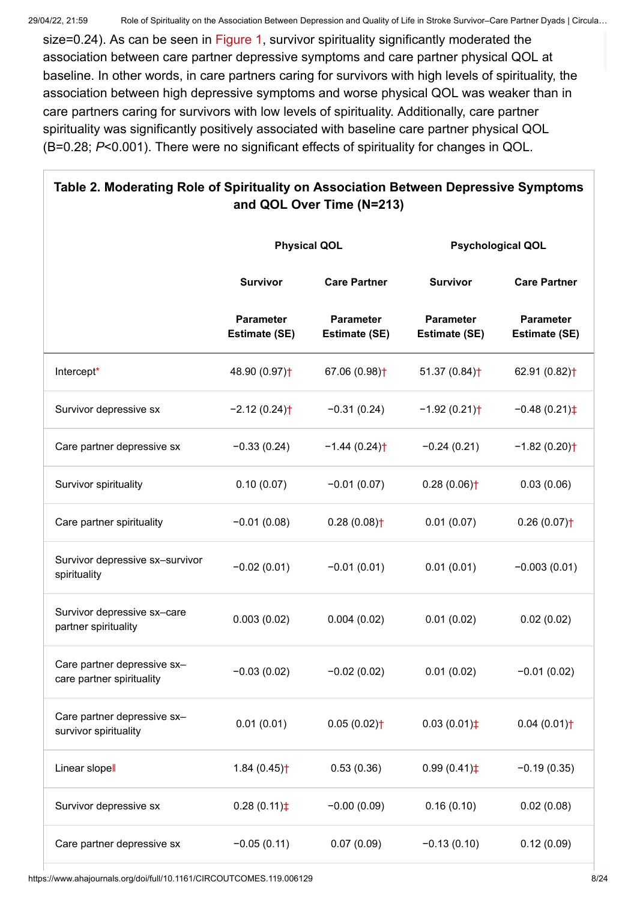size=0.24). As can be seen in [Figure 1](#page-8-0), survivor spirituality significantly moderated the association between care partner depressive symptoms and care partner physical QOL at baseline. In other words, in care partners caring for survivors with high levels of spirituality, the association between high depressive symptoms and worse physical QOL was weaker than in care partners caring for survivors with low levels of spirituality. Additionally, care partner spirituality was significantly positively associated with baseline care partner physical QOL (B=0.28; *P*<0.001). There were no significant effects of spirituality for changes in QOL.

#### **Table 2. Moderating Role of Spirituality on Association Between Depressive Symptoms and QOL Over Time (N=213)**

|                                                          | <b>Physical QOL</b>                      |                                          | <b>Psychological QOL</b>                 |                                          |
|----------------------------------------------------------|------------------------------------------|------------------------------------------|------------------------------------------|------------------------------------------|
|                                                          | <b>Survivor</b>                          | <b>Care Partner</b>                      | <b>Survivor</b>                          | <b>Care Partner</b>                      |
|                                                          | <b>Parameter</b><br><b>Estimate (SE)</b> | <b>Parameter</b><br><b>Estimate (SE)</b> | <b>Parameter</b><br><b>Estimate (SE)</b> | <b>Parameter</b><br><b>Estimate (SE)</b> |
| Intercept*                                               | 48.90 (0.97) <sup>+</sup>                | $67.06(0.98)$ <sup>+</sup>               | $51.37(0.84)$ <sup>+</sup>               | 62.91 $(0.82)$ <sup>+</sup>              |
| Survivor depressive sx                                   | $-2.12(0.24)$ <sup>+</sup>               | $-0.31(0.24)$                            | $-1.92(0.21)$ <sup>+</sup>               | $-0.48(0.21)$                            |
| Care partner depressive sx                               | $-0.33(0.24)$                            | $-1.44(0.24)$ <sup>+</sup>               | $-0.24(0.21)$                            | $-1.82(0.20)$ <sup>+</sup>               |
| Survivor spirituality                                    | 0.10(0.07)                               | $-0.01(0.07)$                            | $0.28(0.06)$ <sup>+</sup>                | 0.03(0.06)                               |
| Care partner spirituality                                | $-0.01(0.08)$                            | $0.28(0.08)$ <sup>+</sup>                | 0.01(0.07)                               | $0.26(0.07)$ <sup>+</sup>                |
| Survivor depressive sx-survivor<br>spirituality          | $-0.02(0.01)$                            | $-0.01(0.01)$                            | 0.01(0.01)                               | $-0.003(0.01)$                           |
| Survivor depressive sx-care<br>partner spirituality      | 0.003(0.02)                              | 0.004(0.02)                              | 0.01(0.02)                               | 0.02(0.02)                               |
| Care partner depressive sx-<br>care partner spirituality | $-0.03(0.02)$                            | $-0.02(0.02)$                            | 0.01(0.02)                               | $-0.01(0.02)$                            |
| Care partner depressive sx-<br>survivor spirituality     | 0.01(0.01)                               | $0.05(0.02)$ <sup>+</sup>                | $0.03(0.01)$ ‡                           | $0.04(0.01)$ <sup>+</sup>                |
| Linear slopell                                           | $1.84(0.45)$ <sup>+</sup>                | 0.53(0.36)                               | $0.99(0.41)$ ‡                           | $-0.19(0.35)$                            |
| Survivor depressive sx                                   | $0.28(0.11)$ ‡                           | $-0.00(0.09)$                            | 0.16(0.10)                               | 0.02(0.08)                               |
| Care partner depressive sx                               | $-0.05(0.11)$                            | 0.07(0.09)                               | $-0.13(0.10)$                            | 0.12(0.09)                               |

https://www.ahajournals.org/doi/full/10.1161/CIRCOUTCOMES.119.006129 8/24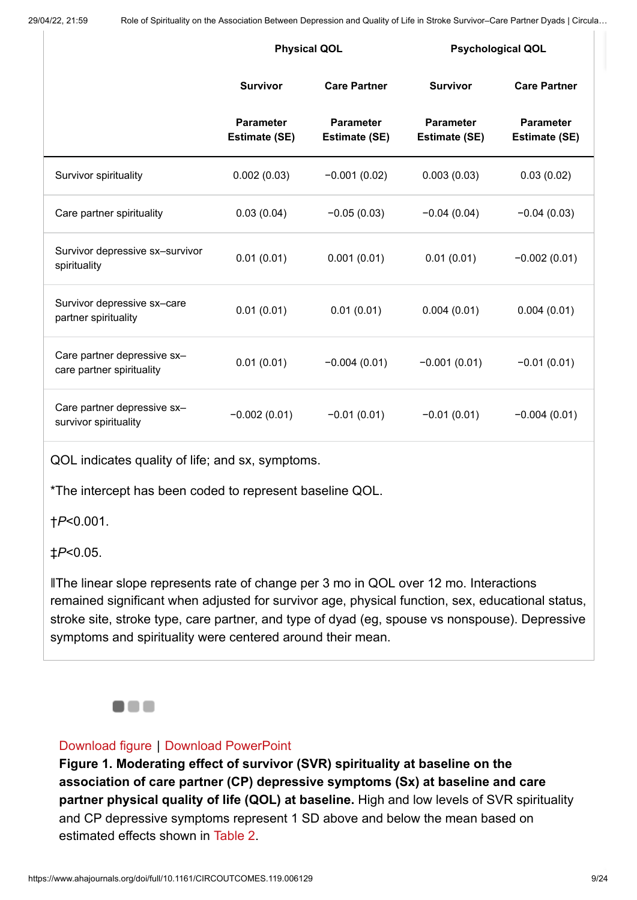|                                                          | <b>Physical QOL</b>                      |                                          | <b>Psychological QOL</b>                 |                                          |
|----------------------------------------------------------|------------------------------------------|------------------------------------------|------------------------------------------|------------------------------------------|
|                                                          | <b>Survivor</b>                          | <b>Care Partner</b>                      | <b>Survivor</b>                          | <b>Care Partner</b>                      |
|                                                          | <b>Parameter</b><br><b>Estimate (SE)</b> | <b>Parameter</b><br><b>Estimate (SE)</b> | <b>Parameter</b><br><b>Estimate (SE)</b> | <b>Parameter</b><br><b>Estimate (SE)</b> |
| Survivor spirituality                                    | 0.002(0.03)                              | $-0.001(0.02)$                           | 0.003(0.03)                              | 0.03(0.02)                               |
| Care partner spirituality                                | 0.03(0.04)                               | $-0.05(0.03)$                            | $-0.04(0.04)$                            | $-0.04(0.03)$                            |
| Survivor depressive sx-survivor<br>spirituality          | 0.01(0.01)                               | 0.001(0.01)                              | 0.01(0.01)                               | $-0.002(0.01)$                           |
| Survivor depressive sx-care<br>partner spirituality      | 0.01(0.01)                               | 0.01(0.01)                               | 0.004(0.01)                              | 0.004(0.01)                              |
| Care partner depressive sx-<br>care partner spirituality | 0.01(0.01)                               | $-0.004(0.01)$                           | $-0.001(0.01)$                           | $-0.01(0.01)$                            |
| Care partner depressive sx-<br>survivor spirituality     | $-0.002(0.01)$                           | $-0.01(0.01)$                            | $-0.01(0.01)$                            | $-0.004(0.01)$                           |

QOL indicates quality of life; and sx, symptoms.

<span id="page-8-1"></span>\*The intercept has been coded to represent baseline QOL.

<span id="page-8-2"></span>†*P*<0.001.

<span id="page-8-3"></span>‡*P*<0.05.

<span id="page-8-4"></span>‖The linear slope represents rate of change per 3 mo in QOL over 12 mo. Interactions remained significant when adjusted for survivor age, physical function, sex, educational status, stroke site, stroke type, care partner, and type of dyad (eg, spouse vs nonspouse). Depressive symptoms and spirituality were centered around their mean.

<span id="page-8-0"></span>

#### [Download figure](https://www.ahajournals.org/cms/asset/0e1d11dd-a17e-4add-ac3a-e5fcafc91a9e/circoutcomes.119.006129.fig01.tif) | [Download PowerPoint](https://www.ahajournals.org/action/downloadFigures?id=F1&doi=10.1161%2FCIRCOUTCOMES.119.006129)

**Figure 1. Moderating effect of survivor (SVR) spirituality at baseline on the association of care partner (CP) depressive symptoms (Sx) at baseline and care partner physical quality of life (QOL) at baseline.** High and low levels of SVR spirituality and CP depressive symptoms represent 1 SD above and below the mean based on estimated effects shown in [Table 2](#page-6-1).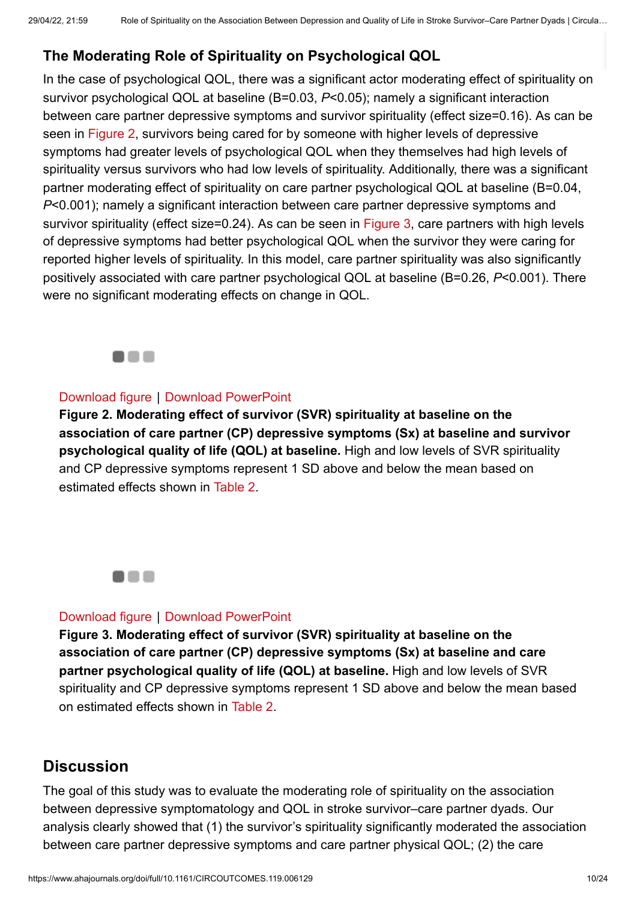## **The Moderating Role of Spirituality on Psychological QOL**

In the case of psychological QOL, there was a significant actor moderating effect of spirituality on survivor psychological QOL at baseline (B=0.03, *P*<0.05); namely a significant interaction between care partner depressive symptoms and survivor spirituality (effect size=0.16). As can be seen in [Figure 2,](#page-9-0) survivors being cared for by someone with higher levels of depressive symptoms had greater levels of psychological QOL when they themselves had high levels of spirituality versus survivors who had low levels of spirituality. Additionally, there was a significant partner moderating effect of spirituality on care partner psychological QOL at baseline (B=0.04, *P*<0.001); namely a significant interaction between care partner depressive symptoms and survivor spirituality (effect size=0.24). As can be seen in [Figure 3](#page-9-1), care partners with high levels of depressive symptoms had better psychological QOL when the survivor they were caring for reported higher levels of spirituality. In this model, care partner spirituality was also significantly positively associated with care partner psychological QOL at baseline (B=0.26, *P*<0.001). There were no significant moderating effects on change in QOL.

# 8 O O

#### <span id="page-9-0"></span>[Download figure](https://www.ahajournals.org/cms/asset/2aeafb13-e4d2-4fb0-8a2e-ad827ccafbf5/circoutcomes.119.006129.fig02.tif) | [Download PowerPoint](https://www.ahajournals.org/action/downloadFigures?id=F2&doi=10.1161%2FCIRCOUTCOMES.119.006129)

**Figure 2. Moderating effect of survivor (SVR) spirituality at baseline on the association of care partner (CP) depressive symptoms (Sx) at baseline and survivor psychological quality of life (QOL) at baseline.** High and low levels of SVR spirituality and CP depressive symptoms represent 1 SD above and below the mean based on estimated effects shown in [Table 2](#page-6-1).

<span id="page-9-1"></span>

#### [Download figure](https://www.ahajournals.org/cms/asset/ab6f612c-7459-4d85-bee5-84981b8efbe9/circoutcomes.119.006129.fig03.tif) | [Download PowerPoint](https://www.ahajournals.org/action/downloadFigures?id=F3&doi=10.1161%2FCIRCOUTCOMES.119.006129)

**Figure 3. Moderating effect of survivor (SVR) spirituality at baseline on the association of care partner (CP) depressive symptoms (Sx) at baseline and care partner psychological quality of life (QOL) at baseline.** High and low levels of SVR spirituality and CP depressive symptoms represent 1 SD above and below the mean based on estimated effects shown in [Table 2.](#page-6-1)

## **Discussion**

The goal of this study was to evaluate the moderating role of spirituality on the association between depressive symptomatology and QOL in stroke survivor–care partner dyads. Our analysis clearly showed that (1) the survivor's spirituality significantly moderated the association between care partner depressive symptoms and care partner physical QOL; (2) the care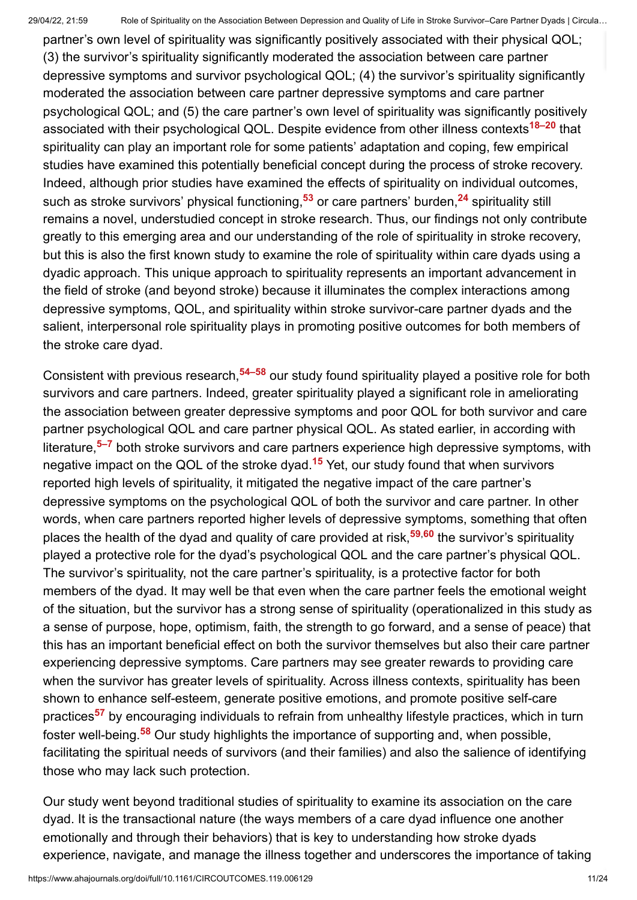<span id="page-10-0"></span>partner's own level of spirituality was significantly positively associated with their physical QOL; (3) the survivor's spirituality significantly moderated the association between care partner depressive symptoms and survivor psychological QOL; (4) the survivor's spirituality significantly moderated the association between care partner depressive symptoms and care partner psychological QOL; and (5) the care partner's own level of spirituality was significantly positively associated with their psychological QOL. Despite evidence from other illness contexts<sup>18–20</sup> that spirituality can play an important role for some patients' adaptation and coping, few empirical studies have examined this potentially beneficial concept during the process of stroke recovery. Indeed, although prior studies have examined the effects of spirituality on individual outcomes, such as stroke survivors' physical functioning,<sup>53</sup> or care partners' burden,<sup>24</sup> spirituality still remains a novel, understudied concept in stroke research. Thus, our findings not only contribute greatly to this emerging area and our understanding of the role of spirituality in stroke recovery, but this is also the first known study to examine the role of spirituality within care dyads using a dyadic approach. This unique approach to spirituality represents an important advancement in the field of stroke (and beyond stroke) because it illuminates the complex interactions among depressive symptoms, QOL, and spirituality within stroke survivor-care partner dyads and the salient, interpersonal role spirituality plays in promoting positive outcomes for both members of the stroke care dyad.

<span id="page-10-4"></span><span id="page-10-3"></span>Consistent with previous research,<sup>54–58</sup> our study found spirituality played a positive role for both survivors and care partners. Indeed, greater spirituality played a significant role in ameliorating the association between greater depressive symptoms and poor QOL for both survivor and care partner psychological QOL and care partner physical QOL. As stated earlier, in according with literature,<sup>5–7</sup> both stroke survivors and care partners experience high depressive symptoms, with negative impact on the QOL of the stroke dyad.<sup>15</sup> Yet, our study found that when survivors reported high levels of spirituality, it mitigated the negative impact of the care partner's depressive symptoms on the psychological QOL of both the survivor and care partner. In other words, when care partners reported higher levels of depressive symptoms, something that often places the health of the dyad and quality of care provided at risk,<sup>59,60</sup> the survivor's spirituality played a protective role for the dyad's psychological QOL and the care partner's physical QOL. The survivor's spirituality, not the care partner's spirituality, is a protective factor for both members of the dyad. It may well be that even when the care partner feels the emotional weight of the situation, but the survivor has a strong sense of spirituality (operationalized in this study as a sense of purpose, hope, optimism, faith, the strength to go forward, and a sense of peace) that this has an important beneficial effect on both the survivor themselves but also their care partner experiencing depressive symptoms. Care partners may see greater rewards to providing care when the survivor has greater levels of spirituality. Across illness contexts, spirituality has been shown to enhance self-esteem, generate positive emotions, and promote positive self-care practices<sup>57</sup> by encouraging individuals to refrain from unhealthy lifestyle practices, which in turn foster well-being.<sup>58</sup> Our study highlights the importance of supporting and, when possible, facilitating the spiritual needs of survivors (and their families) and also the salience of identifying those who may lack such protection.

<span id="page-10-2"></span><span id="page-10-1"></span>Our study went beyond traditional studies of spirituality to examine its association on the care dyad. It is the transactional nature (the ways members of a care dyad influence one another emotionally and through their behaviors) that is key to understanding how stroke dyads experience, navigate, and manage the illness together and underscores the importance of taking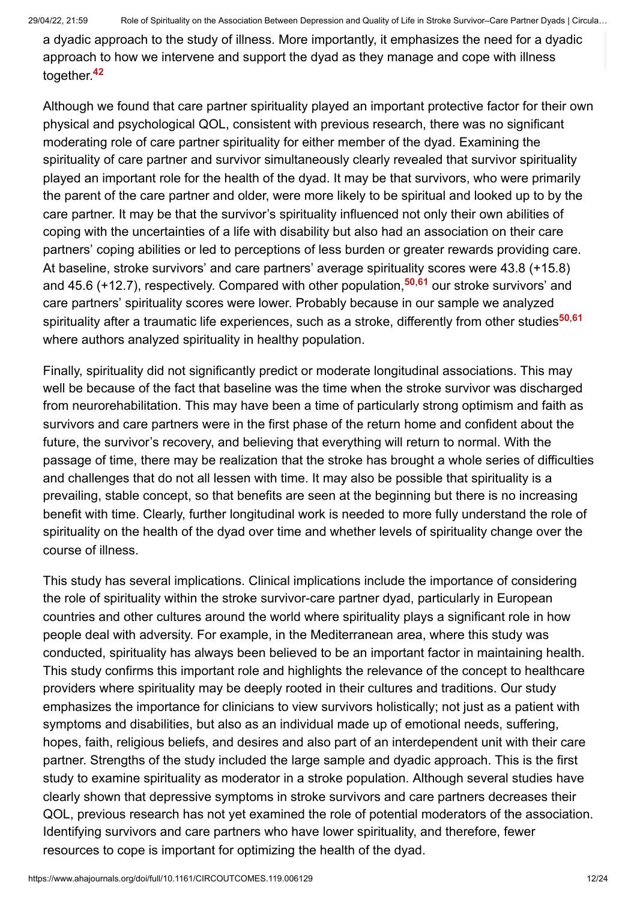29/04/22, 21:59 Role of Spirituality on the Association Between Depression and Quality of Life in Stroke Survivor–Care Partner Dyads | Circula…

a dyadic approach to the study of illness. More importantly, it emphasizes the need for a dyadic approach to how we intervene and support the dyad as they manage and cope with illness together. **42**

Although we found that care partner spirituality played an important protective factor for their own physical and psychological QOL, consistent with previous research, there was no significant moderating role of care partner spirituality for either member of the dyad. Examining the spirituality of care partner and survivor simultaneously clearly revealed that survivor spirituality played an important role for the health of the dyad. It may be that survivors, who were primarily the parent of the care partner and older, were more likely to be spiritual and looked up to by the care partner. It may be that the survivor's spirituality influenced not only their own abilities of coping with the uncertainties of a life with disability but also had an association on their care partners' coping abilities or led to perceptions of less burden or greater rewards providing care. At baseline, stroke survivors' and care partners' average spirituality scores were 43.8 (+15.8) and 45.6 (+12.7), respectively. Compared with other population,<sup>50,61</sup> our stroke survivors' and care partners' spirituality scores were lower. Probably because in our sample we analyzed spirituality after a traumatic life experiences, such as a stroke, differently from other studies **50**,**61**where authors analyzed spirituality in healthy population.

<span id="page-11-0"></span>Finally, spirituality did not significantly predict or moderate longitudinal associations. This may well be because of the fact that baseline was the time when the stroke survivor was discharged from neurorehabilitation. This may have been a time of particularly strong optimism and faith as survivors and care partners were in the first phase of the return home and confident about the future, the survivor's recovery, and believing that everything will return to normal. With the passage of time, there may be realization that the stroke has brought a whole series of difficulties and challenges that do not all lessen with time. It may also be possible that spirituality is a prevailing, stable concept, so that benefits are seen at the beginning but there is no increasing benefit with time. Clearly, further longitudinal work is needed to more fully understand the role of spirituality on the health of the dyad over time and whether levels of spirituality change over the course of illness.

This study has several implications. Clinical implications include the importance of considering the role of spirituality within the stroke survivor-care partner dyad, particularly in European countries and other cultures around the world where spirituality plays a significant role in how people deal with adversity. For example, in the Mediterranean area, where this study was conducted, spirituality has always been believed to be an important factor in maintaining health. This study confirms this important role and highlights the relevance of the concept to healthcare providers where spirituality may be deeply rooted in their cultures and traditions. Our study emphasizes the importance for clinicians to view survivors holistically; not just as a patient with symptoms and disabilities, but also as an individual made up of emotional needs, suffering, hopes, faith, religious beliefs, and desires and also part of an interdependent unit with their care partner. Strengths of the study included the large sample and dyadic approach. This is the first study to examine spirituality as moderator in a stroke population. Although several studies have clearly shown that depressive symptoms in stroke survivors and care partners decreases their QOL, previous research has not yet examined the role of potential moderators of the association. Identifying survivors and care partners who have lower spirituality, and therefore, fewer resources to cope is important for optimizing the health of the dyad.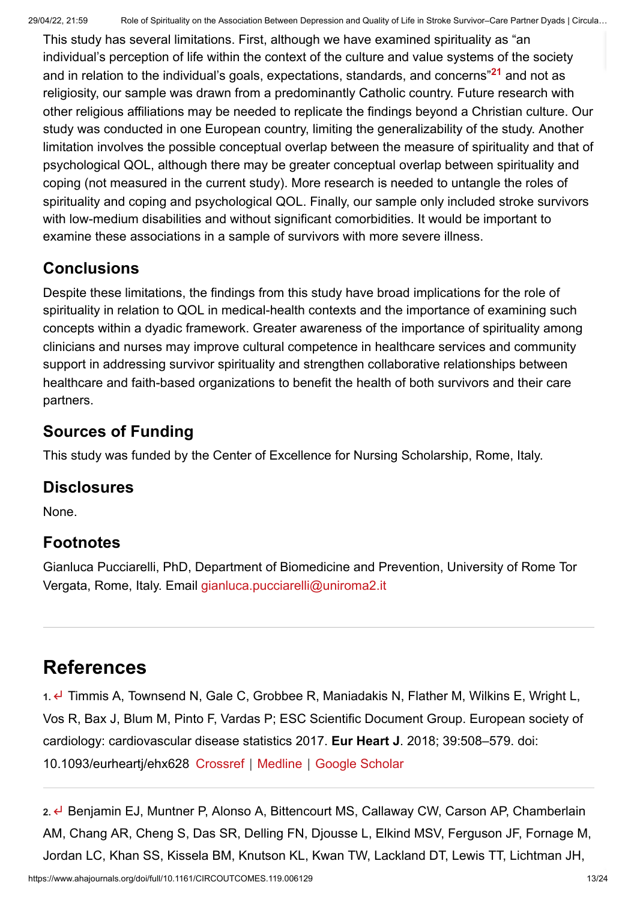This study has several limitations. First, although we have examined spirituality as "an individual's perception of life within the context of the culture and value systems of the society and in relation to the individual's goals, expectations, standards, and concerns"<sup>21</sup> and not as religiosity, our sample was drawn from a predominantly Catholic country. Future research with other religious affiliations may be needed to replicate the findings beyond a Christian culture. Our study was conducted in one European country, limiting the generalizability of the study. Another limitation involves the possible conceptual overlap between the measure of spirituality and that of psychological QOL, although there may be greater conceptual overlap between spirituality and coping (not measured in the current study). More research is needed to untangle the roles of spirituality and coping and psychological QOL. Finally, our sample only included stroke survivors with low-medium disabilities and without significant comorbidities. It would be important to examine these associations in a sample of survivors with more severe illness.

#### **Conclusions**

Despite these limitations, the findings from this study have broad implications for the role of spirituality in relation to QOL in medical-health contexts and the importance of examining such concepts within a dyadic framework. Greater awareness of the importance of spirituality among clinicians and nurses may improve cultural competence in healthcare services and community support in addressing survivor spirituality and strengthen collaborative relationships between healthcare and faith-based organizations to benefit the health of both survivors and their care partners.

#### **Sources of Funding**

This study was funded by the Center of Excellence for Nursing Scholarship, Rome, Italy.

#### **Disclosures**

None.

#### **Footnotes**

Gianluca Pucciarelli, PhD, Department of Biomedicine and Prevention, University of Rome Tor Vergata, Rome, Italy. Email [gianluca.pucciarelli@uniroma2.it](mailto:mailto:gianluca.pucciarelli@uniroma2.it)

# **References**

**1.** Timmis A, Townsend N, Gale C, Grobbee R, Maniadakis N, Flather M, Wilkins E, Wright L, Vos R, Bax J, Blum M, Pinto F, Vardas P; ESC Scientific Document Group. European society of cardiology: cardiovascular disease statistics 2017. **Eur Heart J**. 2018; 39:508–579. doi: 10.1093/eurheartj/ehx628 [Crossref](https://www.ahajournals.org/servlet/linkout?suffix=e_1_3_3_2_2&dbid=16&doi=10.1161%2FCIRCOUTCOMES.119.006129&key=10.1093%2Feurheartj%2Fehx628) | [Medline](https://www.ahajournals.org/servlet/linkout?suffix=e_1_3_3_2_2&dbid=8&doi=10.1161%2FCIRCOUTCOMES.119.006129&key=29190377) | [Google Scholar](http://scholar.google.com/scholar_lookup?hl=en&volume=39&publication_year=2018&pages=508-579&journal=Eur+Heart+J&author=A+Timmis&author=N+Townsend&author=C+Gale&author=R+Grobbee&author=N+Maniadakis&author=M+Flather&author=E+Wilkins&author=L+Wright&author=R+Vos&author=J+Bax&author=M+Blum&author=F+Pinto&author=P+Vardas&title=European+society+of+cardiology%3A+cardiovascular+disease+statistics+2017.)

**2.** e Benjamin EJ, Muntner P, Alonso A, Bittencourt MS, Callaway CW, Carson AP, Chamberlain AM, Chang AR, Cheng S, Das SR, Delling FN, Djousse L, Elkind MSV, Ferguson JF, Fornage M, Jordan LC, Khan SS, Kissela BM, Knutson KL, Kwan TW, Lackland DT, Lewis TT, Lichtman JH,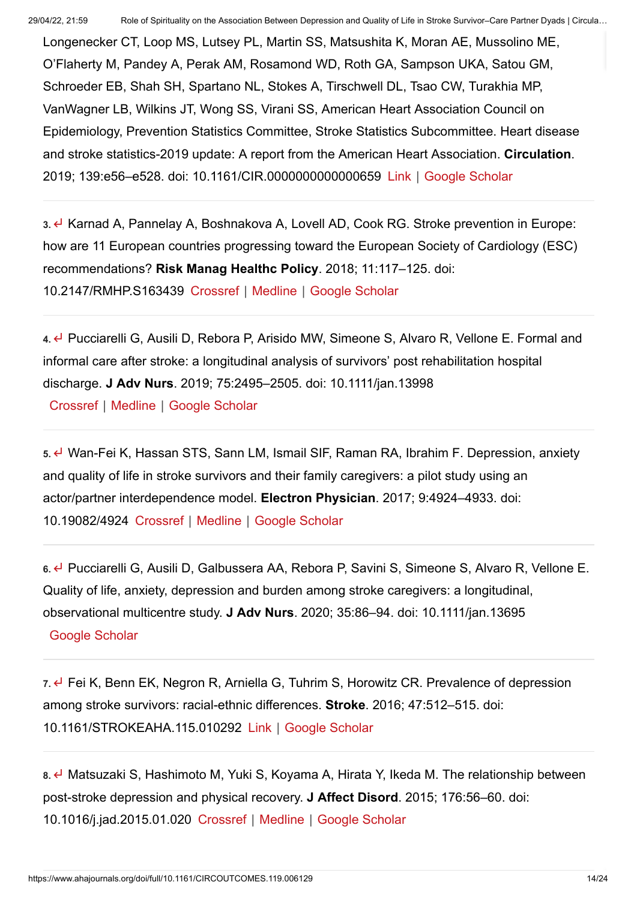Longenecker CT, Loop MS, Lutsey PL, Martin SS, Matsushita K, Moran AE, Mussolino ME, O'Flaherty M, Pandey A, Perak AM, Rosamond WD, Roth GA, Sampson UKA, Satou GM, Schroeder EB, Shah SH, Spartano NL, Stokes A, Tirschwell DL, Tsao CW, Turakhia MP, VanWagner LB, Wilkins JT, Wong SS, Virani SS, American Heart Association Council on Epidemiology, Prevention Statistics Committee, Stroke Statistics Subcommittee. Heart disease and stroke statistics-2019 update: A report from the American Heart Association. **Circulation**. 2019; 139:e56–e528. doi: 10.1161/CIR.0000000000000659 [Link](https://www.ahajournals.org/doi/10.1161/CIR.0000000000000659) | [Google Scholar](http://scholar.google.com/scholar_lookup?hl=en&volume=139&publication_year=2019&pages=e56-e528&journal=Circulation&author=EJ+Benjamin&author=P+Muntner&author=A+Alonso&author=MS+Bittencourt&author=CW+Callaway&author=AP+Carson&author=AM+Chamberlain&author=AR+Chang&author=S+Cheng&author=SR+Das&author=FN+Delling&author=L+Djousse&author=MSV+Elkind&author=JF+Ferguson&author=M+Fornage&author=LC+Jordan&author=SS+Khan&author=BM+Kissela&author=KL+Knutson&author=TW+Kwan&author=DT+Lackland&author=TT+Lewis&author=JH+Lichtman&author=CT+Longenecker&author=MS+Loop&author=PL+Lutsey&author=SS+Martin&author=K+Matsushita&author=AE+Moran&author=ME+Mussolino&author=M+O%E2%80%99Flaherty&author=A+Pandey&author=AM+Perak&author=WD+Rosamond&author=GA+Roth&author=UKA+Sampson&author=GM+Satou&author=EB+Schroeder&author=SH+Shah&author=NL+Spartano&author=A+Stokes&author=DL+Tirschwell&author=CW+Tsao&author=MP+Turakhia&author=LB+VanWagner&author=JT+Wilkins&author=SS+Wong&author=SS+Virani&title=Heart+disease+and+stroke+statistics-2019+update%3A+A+report+from+the+American+Heart+Association.)

**3.** Karnad A, Pannelay A, Boshnakova A, Lovell AD, Cook RG. Stroke prevention in Europe: how are 11 European countries progressing toward the European Society of Cardiology (ESC) recommendations? **Risk Manag Healthc Policy**. 2018; 11:117–125. doi: 10.2147/RMHP.S163439 [Crossref](https://www.ahajournals.org/servlet/linkout?suffix=e_1_3_3_4_2&dbid=16&doi=10.1161%2FCIRCOUTCOMES.119.006129&key=10.2147%2FRMHP.S163439) | [Medline](https://www.ahajournals.org/servlet/linkout?suffix=e_1_3_3_4_2&dbid=8&doi=10.1161%2FCIRCOUTCOMES.119.006129&key=30197544) | [Google Scholar](http://scholar.google.com/scholar_lookup?hl=en&volume=11&publication_year=2018&pages=117-125&journal=Risk+Manag+Healthc+Policy&author=A+Karnad&author=A+Pannelay&author=A+Boshnakova&author=AD+Lovell&author=RG+Cook&title=Stroke+prevention+in+Europe%3A+how+are+11+European+countries+progressing+toward+the+European+Society+of+Cardiology+%28ESC%29+recommendations%3F)

**4.** Pucciarelli G, Ausili D, Rebora P, Arisido MW, Simeone S, Alvaro R, Vellone E. Formal and informal care after stroke: a longitudinal analysis of survivors' post rehabilitation hospital discharge. **J Adv Nurs**. 2019; 75:2495–2505. doi: 10.1111/jan.13998 [Crossref](https://www.ahajournals.org/servlet/linkout?suffix=e_1_3_3_5_2&dbid=16&doi=10.1161%2FCIRCOUTCOMES.119.006129&key=10.1111%2Fjan.13998) | [Medline](https://www.ahajournals.org/servlet/linkout?suffix=e_1_3_3_5_2&dbid=8&doi=10.1161%2FCIRCOUTCOMES.119.006129&key=30883880) | [Google Scholar](http://scholar.google.com/scholar_lookup?hl=en&volume=75&publication_year=2019&pages=2495-2505&journal=J+Adv+Nurs&author=G+Pucciarelli&author=D+Ausili&author=P+Rebora&author=MW+Arisido&author=S+Simeone&author=R+Alvaro&author=E+Vellone&title=Formal+and+informal+care+after+stroke%3A+a+longitudinal+analysis+of+survivors%E2%80%99+post+rehabilitation+hospital+discharge.)

**5.** Wan-Fei K, Hassan STS, Sann LM, Ismail SIF, Raman RA, Ibrahim F. Depression, anxiety and quality of life in stroke survivors and their family caregivers: a pilot study using an actor/partner interdependence model. **Electron Physician**. 2017; 9:4924–4933. doi: 10.19082/4924 [Crossref](https://www.ahajournals.org/servlet/linkout?suffix=e_1_3_3_6_2&dbid=16&doi=10.1161%2FCIRCOUTCOMES.119.006129&key=10.19082%2F4924) | [Medline](https://www.ahajournals.org/servlet/linkout?suffix=e_1_3_3_6_2&dbid=8&doi=10.1161%2FCIRCOUTCOMES.119.006129&key=28979724) | [Google Scholar](http://scholar.google.com/scholar_lookup?hl=en&volume=9&publication_year=2017&pages=4924-4933&journal=Electron+Physician&author=K+Wan-Fei&author=STS+Hassan&author=LM+Sann&author=SIF+Ismail&author=RA+Raman&author=F+Ibrahim&title=Depression%2C+anxiety+and+quality+of+life+in+stroke+survivors+and+their+family+caregivers%3A+a+pilot+study+using+an+actor%2Fpartner+interdependence+model.)

**6.** Pucciarelli G, Ausili D, Galbussera AA, Rebora P, Savini S, Simeone S, Alvaro R, Vellone E. Quality of life, anxiety, depression and burden among stroke caregivers: a longitudinal, observational multicentre study. **J Adv Nurs**. 2020; 35:86–94. doi: 10.1111/jan.13695

#### [Google Scholar](http://scholar.google.com/scholar_lookup?hl=en&volume=35&publication_year=2020&pages=86-94&journal=J+Adv+Nurs&author=G+Pucciarelli&author=D+Ausili&author=AA+Galbussera&author=P+Rebora&author=S+Savini&author=S+Simeone&author=R+Alvaro&author=E+Vellone&title=Quality+of+life%2C+anxiety%2C+depression+and+burden+among+stroke+caregivers%3A+a+longitudinal%2C+observational+multicentre+study.)

**7.** Fei K, Benn EK, Negron R, Arniella G, Tuhrim S, Horowitz CR. Prevalence of depression among stroke survivors: racial-ethnic differences. **Stroke**. 2016; 47:512–515. doi: 10.1161/STROKEAHA.115.010292 [Link](https://www.ahajournals.org/doi/10.1161/strokeaha.115.010292) | [Google Scholar](http://scholar.google.com/scholar_lookup?hl=en&volume=47&publication_year=2016&pages=512-515&journal=Stroke&author=K+Fei&author=EK+Benn&author=R+Negron&author=G+Arniella&author=S+Tuhrim&author=CR+Horowitz&title=Prevalence+of+depression+among+stroke+survivors%3A+racial-ethnic+differences.)

**8.** Matsuzaki S, Hashimoto M, Yuki S, Koyama A, Hirata Y, Ikeda M. The relationship between post-stroke depression and physical recovery. **J Affect Disord**. 2015; 176:56–60. doi: 10.1016/j.jad.2015.01.020 [Crossref](https://www.ahajournals.org/servlet/linkout?suffix=e_1_3_3_9_2&dbid=16&doi=10.1161%2FCIRCOUTCOMES.119.006129&key=10.1016%2Fj.jad.2015.01.020) | [Medline](https://www.ahajournals.org/servlet/linkout?suffix=e_1_3_3_9_2&dbid=8&doi=10.1161%2FCIRCOUTCOMES.119.006129&key=25702600) | [Google Scholar](http://scholar.google.com/scholar_lookup?hl=en&volume=176&publication_year=2015&pages=56-60&journal=J+Affect+Disord&author=S+Matsuzaki&author=M+Hashimoto&author=S+Yuki&author=A+Koyama&author=Y+Hirata&author=M+Ikeda&title=The+relationship+between+post-stroke+depression+and+physical+recovery.)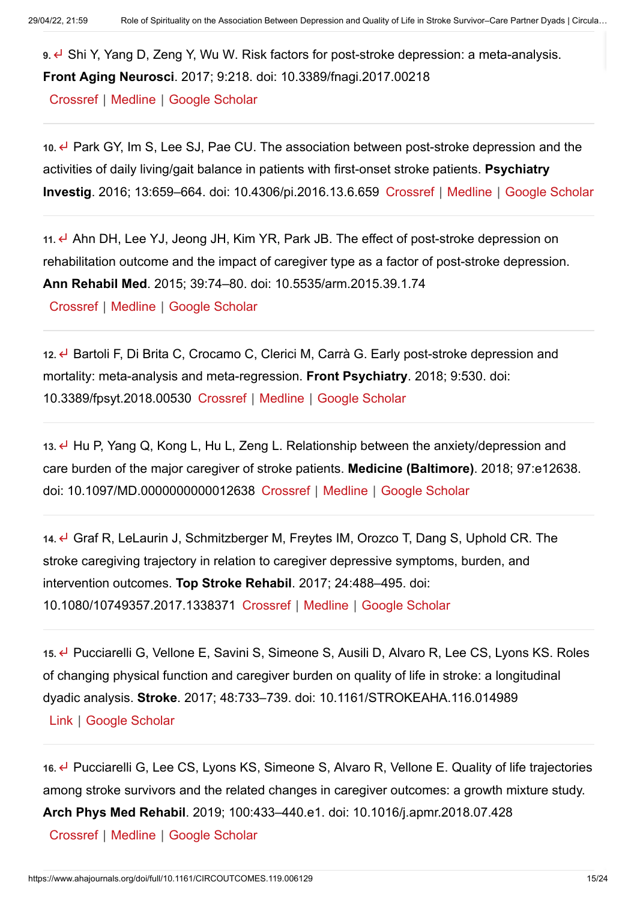**9.** Shi Y, Yang D, Zeng Y, Wu W. Risk factors for post-stroke depression: a meta-analysis. **Front Aging Neurosci**. 2017; 9:218. doi: 10.3389/fnagi.2017.00218 [Crossref](https://www.ahajournals.org/servlet/linkout?suffix=e_1_3_3_10_2&dbid=16&doi=10.1161%2FCIRCOUTCOMES.119.006129&key=10.3389%2Ffnagi.2017.00218) | [Medline](https://www.ahajournals.org/servlet/linkout?suffix=e_1_3_3_10_2&dbid=8&doi=10.1161%2FCIRCOUTCOMES.119.006129&key=28744213) | [Google Scholar](http://scholar.google.com/scholar_lookup?hl=en&volume=9&publication_year=2017&pages=218&journal=Front+Aging+Neurosci&author=Y+Shi&author=D+Yang&author=Y+Zeng&author=W+Wu&title=Risk+factors+for+post-stroke+depression%3A+a+meta-analysis.)

**10.** Park GY, Im S, Lee SJ, Pae CU. The association between post-stroke depression and the activities of daily living/gait balance in patients with first-onset stroke patients. **Psychiatry Investig**. 2016; 13:659–664. doi: 10.4306/pi.2016.13.6.659 [Crossref](https://www.ahajournals.org/servlet/linkout?suffix=e_1_3_3_11_2&dbid=16&doi=10.1161%2FCIRCOUTCOMES.119.006129&key=10.4306%2Fpi.2016.13.6.659) | [Medline](https://www.ahajournals.org/servlet/linkout?suffix=e_1_3_3_11_2&dbid=8&doi=10.1161%2FCIRCOUTCOMES.119.006129&key=27909458) | [Google Scholar](http://scholar.google.com/scholar_lookup?hl=en&volume=13&publication_year=2016&pages=659-664&journal=Psychiatry+Investig&author=GY+Park&author=S+Im&author=SJ+Lee&author=CU+Pae&title=The+association+between+post-stroke+depression+and+the+activities+of+daily+living%2Fgait+balance+in+patients+with+first-onset+stroke+patients.)

**11.** Ahn DH, Lee YJ, Jeong JH, Kim YR, Park JB. The effect of post-stroke depression on rehabilitation outcome and the impact of caregiver type as a factor of post-stroke depression. **Ann Rehabil Med**. 2015; 39:74–80. doi: 10.5535/arm.2015.39.1.74 [Crossref](https://www.ahajournals.org/servlet/linkout?suffix=e_1_3_3_12_2&dbid=16&doi=10.1161%2FCIRCOUTCOMES.119.006129&key=10.5535%2Farm.2015.39.1.74) | [Medline](https://www.ahajournals.org/servlet/linkout?suffix=e_1_3_3_12_2&dbid=8&doi=10.1161%2FCIRCOUTCOMES.119.006129&key=25750875) | [Google Scholar](http://scholar.google.com/scholar_lookup?hl=en&volume=39&publication_year=2015&pages=74-80&journal=Ann+Rehabil+Med&author=DH+Ahn&author=YJ+Lee&author=JH+Jeong&author=YR+Kim&author=JB+Park&title=The+effect+of+post-stroke+depression+on+rehabilitation+outcome+and+the+impact+of+caregiver+type+as+a+factor+of+post-stroke+depression.)

12. ← Bartoli F, Di Brita C, Crocamo C, Clerici M, Carrà G. Early post-stroke depression and mortality: meta-analysis and meta-regression. **Front Psychiatry**. 2018; 9:530. doi: 10.3389/fpsyt.2018.00530 [Crossref](https://www.ahajournals.org/servlet/linkout?suffix=e_1_3_3_13_2&dbid=16&doi=10.1161%2FCIRCOUTCOMES.119.006129&key=10.3389%2Ffpsyt.2018.00530) | [Medline](https://www.ahajournals.org/servlet/linkout?suffix=e_1_3_3_13_2&dbid=8&doi=10.1161%2FCIRCOUTCOMES.119.006129&key=30443225) | [Google Scholar](http://scholar.google.com/scholar_lookup?hl=en&volume=9&publication_year=2018&pages=530&journal=Front+Psychiatry&author=F+Bartoli&author=C+Di+Brita&author=C+Crocamo&author=M+Clerici&author=G+Carr%C3%A0&title=Early+post-stroke+depression+and+mortality%3A+meta-analysis+and+meta-regression.)

13. ← Hu P, Yang Q, Kong L, Hu L, Zeng L. Relationship between the anxiety/depression and care burden of the major caregiver of stroke patients. **Medicine (Baltimore)**. 2018; 97:e12638. doi: 10.1097/MD.0000000000012638 [Crossref](https://www.ahajournals.org/servlet/linkout?suffix=e_1_3_3_14_2&dbid=16&doi=10.1161%2FCIRCOUTCOMES.119.006129&key=10.1097%2FMD.0000000000012638) | [Medline](https://www.ahajournals.org/servlet/linkout?suffix=e_1_3_3_14_2&dbid=8&doi=10.1161%2FCIRCOUTCOMES.119.006129&key=30290641) | [Google Scholar](http://scholar.google.com/scholar_lookup?hl=en&volume=97&publication_year=2018&pages=e12638&journal=Medicine+%28Baltimore%29&author=P+Hu&author=Q+Yang&author=L+Kong&author=L+Hu&author=L+Zeng&title=Relationship+between+the+anxiety%2Fdepression+and+care+burden+of+the+major+caregiver+of+stroke+patients.)

**14.** Graf R, LeLaurin J, Schmitzberger M, Freytes IM, Orozco T, Dang S, Uphold CR. The stroke caregiving trajectory in relation to caregiver depressive symptoms, burden, and intervention outcomes. **Top Stroke Rehabil**. 2017; 24:488–495. doi: 10.1080/10749357.2017.1338371 [Crossref](https://www.ahajournals.org/servlet/linkout?suffix=e_1_3_3_15_2&dbid=16&doi=10.1161%2FCIRCOUTCOMES.119.006129&key=10.1080%2F10749357.2017.1338371) | [Medline](https://www.ahajournals.org/servlet/linkout?suffix=e_1_3_3_15_2&dbid=8&doi=10.1161%2FCIRCOUTCOMES.119.006129&key=28618848) | [Google Scholar](http://scholar.google.com/scholar_lookup?hl=en&volume=24&publication_year=2017&pages=488-495&journal=Top+Stroke+Rehabil&author=R+Graf&author=J+LeLaurin&author=M+Schmitzberger&author=IM+Freytes&author=T+Orozco&author=S+Dang&author=CR+Uphold&title=The+stroke+caregiving+trajectory+in+relation+to+caregiver+depressive+symptoms%2C+burden%2C+and+intervention+outcomes.)

**15.** Pucciarelli G, Vellone E, Savini S, Simeone S, Ausili D, Alvaro R, Lee CS, Lyons KS. Roles of changing physical function and caregiver burden on quality of life in stroke: a longitudinal dyadic analysis. **Stroke**. 2017; 48:733–739. doi: 10.1161/STROKEAHA.116.014989 [Link](https://www.ahajournals.org/doi/10.1161/STROKEAHA.116.014989) | [Google Scholar](http://scholar.google.com/scholar_lookup?hl=en&volume=48&publication_year=2017&pages=733-739&journal=Stroke&author=G+Pucciarelli&author=E+Vellone&author=S+Savini&author=S+Simeone&author=D+Ausili&author=R+Alvaro&author=CS+Lee&author=KS+Lyons&title=Roles+of+changing+physical+function+and+caregiver+burden+on+quality+of+life+in+stroke%3A+a+longitudinal+dyadic+analysis.)

**16.** Pucciarelli G, Lee CS, Lyons KS, Simeone S, Alvaro R, Vellone E. Quality of life trajectories among stroke survivors and the related changes in caregiver outcomes: a growth mixture study. **Arch Phys Med Rehabil**. 2019; 100:433–440.e1. doi: 10.1016/j.apmr.2018.07.428 [Crossref](https://www.ahajournals.org/servlet/linkout?suffix=e_1_3_3_17_2&dbid=16&doi=10.1161%2FCIRCOUTCOMES.119.006129&key=10.1016%2Fj.apmr.2018.07.428) | [Medline](https://www.ahajournals.org/servlet/linkout?suffix=e_1_3_3_17_2&dbid=8&doi=10.1161%2FCIRCOUTCOMES.119.006129&key=30130516) | [Google Scholar](http://scholar.google.com/scholar_lookup?hl=en&volume=100&publication_year=2019&pages=433-440.e1&journal=Arch+Phys+Med+Rehabil&author=G+Pucciarelli&author=CS+Lee&author=KS+Lyons&author=S+Simeone&author=R+Alvaro&author=E+Vellone&title=Quality+of+life+trajectories+among+stroke+survivors+and+the+related+changes+in+caregiver+outcomes%3A+a+growth+mixture+study.)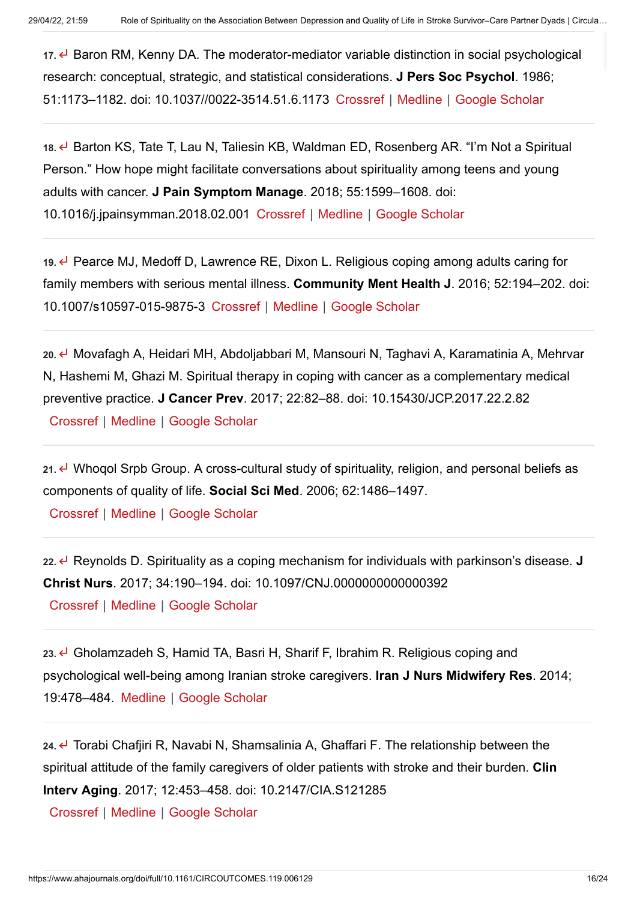17. ♦ Baron RM, Kenny DA. The moderator-mediator variable distinction in social psychological research: conceptual, strategic, and statistical considerations. **J Pers Soc Psychol**. 1986; 51:1173–1182. doi: 10.1037//0022-3514.51.6.1173 [Crossref](https://www.ahajournals.org/servlet/linkout?suffix=e_1_3_3_18_2&dbid=16&doi=10.1161%2FCIRCOUTCOMES.119.006129&key=10.1037%2F0022-3514.51.6.1173) | [Medline](https://www.ahajournals.org/servlet/linkout?suffix=e_1_3_3_18_2&dbid=8&doi=10.1161%2FCIRCOUTCOMES.119.006129&key=3806354) | [Google Scholar](http://scholar.google.com/scholar_lookup?hl=en&volume=51&publication_year=1986&pages=1173-1182&journal=J+Pers+Soc+Psychol&author=RM+Baron&author=DA+Kenny&title=The+moderator-mediator+variable+distinction+in+social+psychological+research%3A+conceptual%2C+strategic%2C+and+statistical+considerations.)

**18.** Barton KS, Tate T, Lau N, Taliesin KB, Waldman ED, Rosenberg AR. "I'm Not a Spiritual Person." How hope might facilitate conversations about spirituality among teens and young adults with cancer. **J Pain Symptom Manage**. 2018; 55:1599–1608. doi: 10.1016/j.jpainsymman.2018.02.001 [Crossref](https://www.ahajournals.org/servlet/linkout?suffix=e_1_3_3_19_2&dbid=16&doi=10.1161%2FCIRCOUTCOMES.119.006129&key=10.1016%2Fj.jpainsymman.2018.02.001) | [Medline](https://www.ahajournals.org/servlet/linkout?suffix=e_1_3_3_19_2&dbid=8&doi=10.1161%2FCIRCOUTCOMES.119.006129&key=29428188) | [Google Scholar](http://scholar.google.com/scholar_lookup?hl=en&volume=55&publication_year=2018&pages=1599-1608&journal=J+Pain+Symptom+Manage&author=KS+Barton&author=T+Tate&author=N+Lau&author=KB+Taliesin&author=ED+Waldman&author=AR+Rosenberg&title=%E2%80%9CI%E2%80%99m+Not+a+Spiritual+Person.%E2%80%9D+How+hope+might+facilitate+conversations+about+spirituality+among+teens+and+young+adults+with+cancer.)

**19.** Pearce MJ, Medoff D, Lawrence RE, Dixon L. Religious coping among adults caring for family members with serious mental illness. **Community Ment Health J**. 2016; 52:194–202. doi: 10.1007/s10597-015-9875-3 [Crossref](https://www.ahajournals.org/servlet/linkout?suffix=e_1_3_3_20_2&dbid=16&doi=10.1161%2FCIRCOUTCOMES.119.006129&key=10.1007%2Fs10597-015-9875-3) | [Medline](https://www.ahajournals.org/servlet/linkout?suffix=e_1_3_3_20_2&dbid=8&doi=10.1161%2FCIRCOUTCOMES.119.006129&key=25895855) | [Google Scholar](http://scholar.google.com/scholar_lookup?hl=en&volume=52&publication_year=2016&pages=194-202&journal=Community+Ment+Health+J&author=MJ+Pearce&author=D+Medoff&author=RE+Lawrence&author=L+Dixon&title=Religious+coping+among+adults+caring+for+family+members+with+serious+mental+illness.)

**20.** Movafagh A, Heidari MH, Abdoljabbari M, Mansouri N, Taghavi A, Karamatinia A, Mehrvar N, Hashemi M, Ghazi M. Spiritual therapy in coping with cancer as a complementary medical preventive practice. **J Cancer Prev**. 2017; 22:82–88. doi: 10.15430/JCP.2017.22.2.82 [Crossref](https://www.ahajournals.org/servlet/linkout?suffix=e_1_3_3_21_2&dbid=16&doi=10.1161%2FCIRCOUTCOMES.119.006129&key=10.15430%2FJCP.2017.22.2.82) | [Medline](https://www.ahajournals.org/servlet/linkout?suffix=e_1_3_3_21_2&dbid=8&doi=10.1161%2FCIRCOUTCOMES.119.006129&key=28698861) | [Google Scholar](http://scholar.google.com/scholar_lookup?hl=en&volume=22&publication_year=2017&pages=82-88&journal=J+Cancer+Prev&author=A+Movafagh&author=MH+Heidari&author=M+Abdoljabbari&author=N+Mansouri&author=A+Taghavi&author=A+Karamatinia&author=N+Mehrvar&author=M+Hashemi&author=M+Ghazi&title=Spiritual+therapy+in+coping+with+cancer+as+a+complementary+medical+preventive+practice.)

**21.** Whoqol Srpb Group. A cross-cultural study of spirituality, religion, and personal beliefs as components of quality of life. **Social Sci Med**. 2006; 62:1486–1497.

[Crossref](https://www.ahajournals.org/servlet/linkout?suffix=e_1_3_3_22_2&dbid=16&doi=10.1161%2FCIRCOUTCOMES.119.006129&key=10.1016%2Fj.socscimed.2005.08.001) | [Medline](https://www.ahajournals.org/servlet/linkout?suffix=e_1_3_3_22_2&dbid=8&doi=10.1161%2FCIRCOUTCOMES.119.006129&key=16168541) | [Google Scholar](http://scholar.google.com/scholar?hl=en&q=Whoqol+Srpb+Group.+A+cross-cultural+study+of+spirituality%2C+religion%2C+and+personal+beliefs+as+components+of+quality+of+life.Social+Sci+Med.+2006%3B62%3A1486%E2%80%931497.)

**22.** Reynolds D. Spirituality as a coping mechanism for individuals with parkinson's disease. **J Christ Nurs**. 2017; 34:190–194. doi: 10.1097/CNJ.0000000000000392 [Crossref](https://www.ahajournals.org/servlet/linkout?suffix=e_1_3_3_23_2&dbid=16&doi=10.1161%2FCIRCOUTCOMES.119.006129&key=10.1097%2FCNJ.0000000000000392) | [Medline](https://www.ahajournals.org/servlet/linkout?suffix=e_1_3_3_23_2&dbid=8&doi=10.1161%2FCIRCOUTCOMES.119.006129&key=28604530) | [Google Scholar](http://scholar.google.com/scholar_lookup?hl=en&volume=34&publication_year=2017&pages=190-194&journal=J+Christ+Nurs&author=D+Reynolds&title=Spirituality+as+a+coping+mechanism+for+individuals+with+parkinson%E2%80%99s+disease.)

23. ← Gholamzadeh S, Hamid TA, Basri H, Sharif F, Ibrahim R, Religious coping and psychological well-being among Iranian stroke caregivers. **Iran J Nurs Midwifery Res**. 2014; 19:478–484. [Medline](https://www.ahajournals.org/servlet/linkout?suffix=e_1_3_3_24_2&dbid=8&doi=10.1161%2FCIRCOUTCOMES.119.006129&key=25400675) | [Google Scholar](http://scholar.google.com/scholar_lookup?hl=en&volume=19&publication_year=2014&pages=478-484&journal=Iran+J+Nurs+Midwifery+Res&author=S+Gholamzadeh&author=TA+Hamid&author=H+Basri&author=F+Sharif&author=R+Ibrahim&title=Religious+coping+and+psychological+well-being+among+Iranian+stroke+caregivers.)

**24.** Torabi Chafjiri R, Navabi N, Shamsalinia A, Ghaffari F. The relationship between the spiritual attitude of the family caregivers of older patients with stroke and their burden. **Clin Interv Aging**. 2017; 12:453–458. doi: 10.2147/CIA.S121285

[Crossref](https://www.ahajournals.org/servlet/linkout?suffix=e_1_3_3_25_2&dbid=16&doi=10.1161%2FCIRCOUTCOMES.119.006129&key=10.2147%2FCIA.S121285) | [Medline](https://www.ahajournals.org/servlet/linkout?suffix=e_1_3_3_25_2&dbid=8&doi=10.1161%2FCIRCOUTCOMES.119.006129&key=28280318) | [Google Scholar](http://scholar.google.com/scholar_lookup?hl=en&volume=12&publication_year=2017&pages=453-458&journal=Clin+Interv+Aging&author=R+Torabi+Chafjiri&author=N+Navabi&author=A+Shamsalinia&author=F+Ghaffari&title=The+relationship+between+the+spiritual+attitude+of+the+family+caregivers+of+older+patients+with+stroke+and+their+burden.)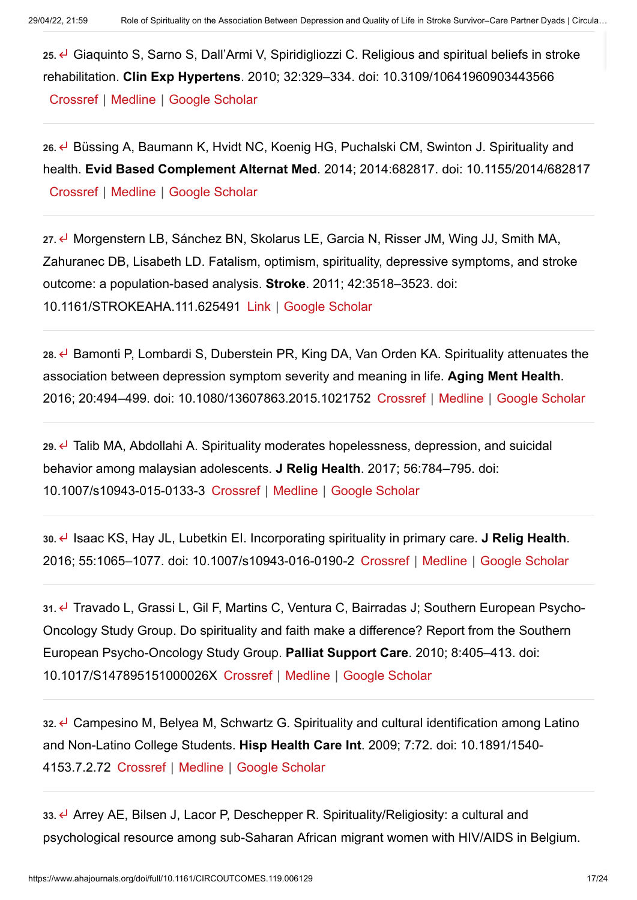**25.** Giaquinto S, Sarno S, Dall'Armi V, Spiridigliozzi C. Religious and spiritual beliefs in stroke rehabilitation. **Clin Exp Hypertens**. 2010; 32:329–334. doi: 10.3109/10641960903443566 [Crossref](https://www.ahajournals.org/servlet/linkout?suffix=e_1_3_3_26_2&dbid=16&doi=10.1161%2FCIRCOUTCOMES.119.006129&key=10.3109%2F10641960903443566) | [Medline](https://www.ahajournals.org/servlet/linkout?suffix=e_1_3_3_26_2&dbid=8&doi=10.1161%2FCIRCOUTCOMES.119.006129&key=21028994) | [Google Scholar](http://scholar.google.com/scholar_lookup?hl=en&volume=32&publication_year=2010&pages=329-334&journal=Clin+Exp+Hypertens&author=S+Giaquinto&author=S+Sarno&author=V+Dall%E2%80%99Armi&author=C+Spiridigliozzi&title=Religious+and+spiritual+beliefs+in+stroke+rehabilitation.)

**26.** Büssing A, Baumann K, Hvidt NC, Koenig HG, Puchalski CM, Swinton J. Spirituality and health. **Evid Based Complement Alternat Med**. 2014; 2014:682817. doi: 10.1155/2014/682817 [Crossref](https://www.ahajournals.org/servlet/linkout?suffix=e_1_3_3_27_2&dbid=16&doi=10.1161%2FCIRCOUTCOMES.119.006129&key=10.1155%2F2014%2F682817) | [Medline](https://www.ahajournals.org/servlet/linkout?suffix=e_1_3_3_27_2&dbid=8&doi=10.1161%2FCIRCOUTCOMES.119.006129&key=24616739) | [Google Scholar](http://scholar.google.com/scholar_lookup?hl=en&volume=2014&publication_year=2014&pages=682817&journal=Evid+Based+Complement+Alternat+Med&author=A+B%C3%BCssing&author=K+Baumann&author=NC+Hvidt&author=HG+Koenig&author=CM+Puchalski&author=J+Swinton&title=Spirituality+and+health.)

**27.** Morgenstern LB, Sánchez BN, Skolarus LE, Garcia N, Risser JM, Wing JJ, Smith MA, Zahuranec DB, Lisabeth LD. Fatalism, optimism, spirituality, depressive symptoms, and stroke outcome: a population-based analysis. **Stroke**. 2011; 42:3518–3523. doi: 10.1161/STROKEAHA.111.625491 [Link](https://www.ahajournals.org/doi/10.1161/STROKEAHA.111.625491) | [Google Scholar](http://scholar.google.com/scholar_lookup?hl=en&volume=42&publication_year=2011&pages=3518-3523&journal=Stroke&author=LB+Morgenstern&author=BN+S%C3%A1nchez&author=LE+Skolarus&author=N+Garcia&author=JM+Risser&author=JJ+Wing&author=MA+Smith&author=DB+Zahuranec&author=LD+Lisabeth&title=Fatalism%2C+optimism%2C+spirituality%2C+depressive+symptoms%2C+and+stroke+outcome%3A+a+population-based+analysis.)

28. ← Bamonti P, Lombardi S, Duberstein PR, King DA, Van Orden KA. Spirituality attenuates the association between depression symptom severity and meaning in life. **Aging Ment Health**. 2016; 20:494–499. doi: 10.1080/13607863.2015.1021752 [Crossref](https://www.ahajournals.org/servlet/linkout?suffix=e_1_3_3_29_2&dbid=16&doi=10.1161%2FCIRCOUTCOMES.119.006129&key=10.1080%2F13607863.2015.1021752) | [Medline](https://www.ahajournals.org/servlet/linkout?suffix=e_1_3_3_29_2&dbid=8&doi=10.1161%2FCIRCOUTCOMES.119.006129&key=25808754) | [Google Scholar](http://scholar.google.com/scholar_lookup?hl=en&volume=20&publication_year=2016&pages=494-499&journal=Aging+Ment+Health&author=P+Bamonti&author=S+Lombardi&author=PR+Duberstein&author=DA+King&author=KA+Van+Orden&title=Spirituality+attenuates+the+association+between+depression+symptom+severity+and+meaning+in+life.)

**29.** Talib MA, Abdollahi A. Spirituality moderates hopelessness, depression, and suicidal behavior among malaysian adolescents. **J Relig Health**. 2017; 56:784–795. doi: 10.1007/s10943-015-0133-3 [Crossref](https://www.ahajournals.org/servlet/linkout?suffix=e_1_3_3_30_2&dbid=16&doi=10.1161%2FCIRCOUTCOMES.119.006129&key=10.1007%2Fs10943-015-0133-3) | [Medline](https://www.ahajournals.org/servlet/linkout?suffix=e_1_3_3_30_2&dbid=8&doi=10.1161%2FCIRCOUTCOMES.119.006129&key=26429729) | [Google Scholar](http://scholar.google.com/scholar_lookup?hl=en&volume=56&publication_year=2017&pages=784-795&journal=J+Relig+Health&author=MA+Talib&author=A+Abdollahi&title=Spirituality+moderates+hopelessness%2C+depression%2C+and+suicidal+behavior+among+malaysian+adolescents.)

**30.** Isaac KS, Hay JL, Lubetkin EI. Incorporating spirituality in primary care. **J Relig Health**. 2016; 55:1065–1077. doi: 10.1007/s10943-016-0190-2 [Crossref](https://www.ahajournals.org/servlet/linkout?suffix=e_1_3_3_31_2&dbid=16&doi=10.1161%2FCIRCOUTCOMES.119.006129&key=10.1007%2Fs10943-016-0190-2) | [Medline](https://www.ahajournals.org/servlet/linkout?suffix=e_1_3_3_31_2&dbid=8&doi=10.1161%2FCIRCOUTCOMES.119.006129&key=26832335) | [Google Scholar](http://scholar.google.com/scholar_lookup?hl=en&volume=55&publication_year=2016&pages=1065-1077&journal=J+Relig+Health&author=KS+Isaac&author=JL+Hay&author=EI+Lubetkin&title=Incorporating+spirituality+in+primary+care.)

**31.** Travado L, Grassi L, Gil F, Martins C, Ventura C, Bairradas J; Southern European Psycho-Oncology Study Group. Do spirituality and faith make a difference? Report from the Southern European Psycho-Oncology Study Group. **Palliat Support Care**. 2010; 8:405–413. doi: 10.1017/S147895151000026X [Crossref](https://www.ahajournals.org/servlet/linkout?suffix=e_1_3_3_32_2&dbid=16&doi=10.1161%2FCIRCOUTCOMES.119.006129&key=10.1017%2FS147895151000026X) | [Medline](https://www.ahajournals.org/servlet/linkout?suffix=e_1_3_3_32_2&dbid=8&doi=10.1161%2FCIRCOUTCOMES.119.006129&key=20875203) | [Google Scholar](http://scholar.google.com/scholar_lookup?hl=en&volume=8&publication_year=2010&pages=405-413&journal=Palliat+Support+Care&author=L+Travado&author=L+Grassi&author=F+Gil&author=C+Martins&author=C+Ventura&author=J+Bairradas&title=Do+spirituality+and+faith+make+a+difference%3F+Report+from+the+Southern+European+Psycho-Oncology+Study+Group.)

**32.** Campesino M, Belyea M, Schwartz G. Spirituality and cultural identification among Latino and Non-Latino College Students. **Hisp Health Care Int**. 2009; 7:72. doi: 10.1891/1540- 4153.7.2.72 [Crossref](https://www.ahajournals.org/servlet/linkout?suffix=e_1_3_3_33_2&dbid=16&doi=10.1161%2FCIRCOUTCOMES.119.006129&key=10.1891%2F1540-4153.7.2.72) | [Medline](https://www.ahajournals.org/servlet/linkout?suffix=e_1_3_3_33_2&dbid=8&doi=10.1161%2FCIRCOUTCOMES.119.006129&key=20165566) | [Google Scholar](http://scholar.google.com/scholar_lookup?hl=en&volume=7&publication_year=2009&pages=72&journal=Hisp+Health+Care+Int&author=M+Campesino&author=M+Belyea&author=G+Schwartz&title=Spirituality+and+cultural+identification+among+Latino+and+Non-Latino+College+Students.)

**33.** Arrey AE, Bilsen J, Lacor P, Deschepper R. Spirituality/Religiosity: a cultural and psychological resource among sub-Saharan African migrant women with HIV/AIDS in Belgium.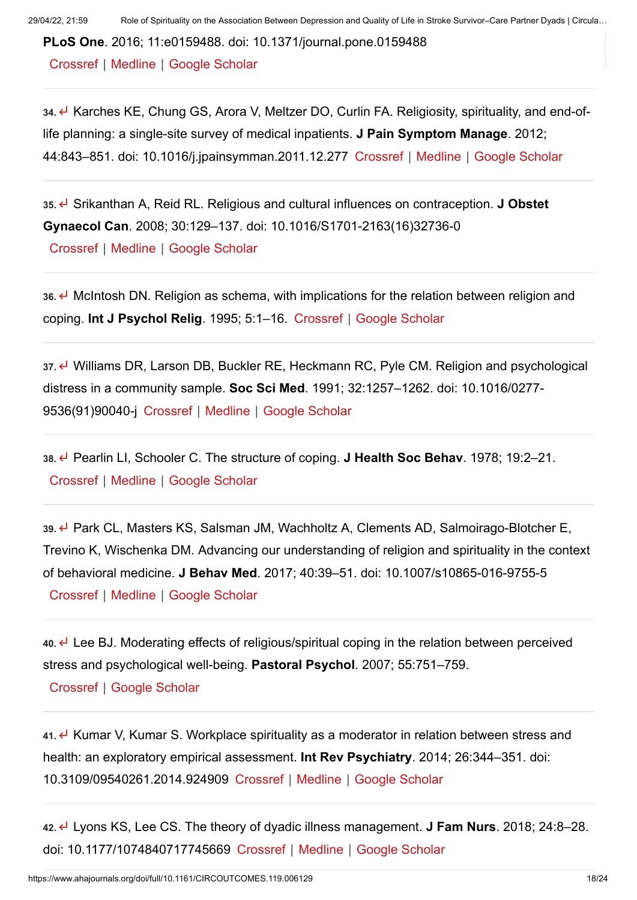**PLoS One**. 2016; 11:e0159488. doi: 10.1371/journal.pone.0159488

[Crossref](https://www.ahajournals.org/servlet/linkout?suffix=e_1_3_3_34_2&dbid=16&doi=10.1161%2FCIRCOUTCOMES.119.006129&key=10.1371%2Fjournal.pone.0159488) | [Medline](https://www.ahajournals.org/servlet/linkout?suffix=e_1_3_3_34_2&dbid=8&doi=10.1161%2FCIRCOUTCOMES.119.006129&key=27447487) | [Google Scholar](http://scholar.google.com/scholar_lookup?hl=en&volume=11&publication_year=2016&pages=e0159488&journal=PLoS+One&author=AE+Arrey&author=J+Bilsen&author=P+Lacor&author=R+Deschepper&title=Spirituality%2FReligiosity%3A+a+cultural+and+psychological+resource+among+sub-Saharan+African+migrant+women+with+HIV%2FAIDS+in+Belgium.)

**34.** Karches KE, Chung GS, Arora V, Meltzer DO, Curlin FA. Religiosity, spirituality, and end-oflife planning: a single-site survey of medical inpatients. **J Pain Symptom Manage**. 2012; 44:843–851. doi: 10.1016/j.jpainsymman.2011.12.277 [Crossref](https://www.ahajournals.org/servlet/linkout?suffix=e_1_3_3_35_2&dbid=16&doi=10.1161%2FCIRCOUTCOMES.119.006129&key=10.1016%2Fj.jpainsymman.2011.12.277) | [Medline](https://www.ahajournals.org/servlet/linkout?suffix=e_1_3_3_35_2&dbid=8&doi=10.1161%2FCIRCOUTCOMES.119.006129&key=22727947) | [Google Scholar](http://scholar.google.com/scholar_lookup?hl=en&volume=44&publication_year=2012&pages=843-851&journal=J+Pain+Symptom+Manage&author=KE+Karches&author=GS+Chung&author=V+Arora&author=DO+Meltzer&author=FA+Curlin&title=Religiosity%2C+spirituality%2C+and+end-of-life+planning%3A+a+single-site+survey+of+medical+inpatients.)

**35.** e Srikanthan A, Reid RL. Religious and cultural influences on contraception. **J Obstet Gynaecol Can**. 2008; 30:129–137. doi: 10.1016/S1701-2163(16)32736-0 [Crossref](https://www.ahajournals.org/servlet/linkout?suffix=e_1_3_3_36_2&dbid=16&doi=10.1161%2FCIRCOUTCOMES.119.006129&key=10.1016%2FS1701-2163%2816%2932736-0) | [Medline](https://www.ahajournals.org/servlet/linkout?suffix=e_1_3_3_36_2&dbid=8&doi=10.1161%2FCIRCOUTCOMES.119.006129&key=18254994) | [Google Scholar](http://scholar.google.com/scholar_lookup?hl=en&volume=30&publication_year=2008&pages=129-137&journal=J+Obstet+Gynaecol+Can&author=A+Srikanthan&author=RL+Reid&title=Religious+and+cultural+influences+on+contraception.)

**36.** Heta McIntosh DN. Religion as schema, with implications for the relation between religion and coping. **Int J Psychol Relig**. 1995; 5:1–16. [Crossref](https://www.ahajournals.org/servlet/linkout?suffix=e_1_3_3_37_2&dbid=16&doi=10.1161%2FCIRCOUTCOMES.119.006129&key=10.1207%2Fs15327582ijpr0501_1) | [Google Scholar](http://scholar.google.com/scholar_lookup?hl=en&volume=5&publication_year=1995&pages=1-16&journal=Int+J+Psychol+Relig&author=DN+McIntosh&title=Religion+as+schema%2C+with+implications+for+the+relation+between+religion+and+coping.)

**37.** Williams DR, Larson DB, Buckler RE, Heckmann RC, Pyle CM. Religion and psychological distress in a community sample. **Soc Sci Med**. 1991; 32:1257–1262. doi: 10.1016/0277- 9536(91)90040-j [Crossref](https://www.ahajournals.org/servlet/linkout?suffix=e_1_3_3_38_2&dbid=16&doi=10.1161%2FCIRCOUTCOMES.119.006129&key=10.1016%2F0277-9536%2891%2990040-J) | [Medline](https://www.ahajournals.org/servlet/linkout?suffix=e_1_3_3_38_2&dbid=8&doi=10.1161%2FCIRCOUTCOMES.119.006129&key=2068608) | [Google Scholar](http://scholar.google.com/scholar_lookup?hl=en&volume=32&publication_year=1991&pages=1257-1262&journal=Soc+Sci+Med&author=DR+Williams&author=DB+Larson&author=RE+Buckler&author=RC+Heckmann&author=CM+Pyle&title=Religion+and+psychological+distress+in+a+community+sample.)

**38.** Pearlin LI, Schooler C. The structure of coping. **J Health Soc Behav**. 1978; 19:2–21. [Crossref](https://www.ahajournals.org/servlet/linkout?suffix=e_1_3_3_39_2&dbid=16&doi=10.1161%2FCIRCOUTCOMES.119.006129&key=10.2307%2F2136319) | [Medline](https://www.ahajournals.org/servlet/linkout?suffix=e_1_3_3_39_2&dbid=8&doi=10.1161%2FCIRCOUTCOMES.119.006129&key=649936) | [Google Scholar](http://scholar.google.com/scholar_lookup?hl=en&volume=19&publication_year=1978&pages=2-21&journal=J+Health+Soc+Behav&author=LI+Pearlin&author=C+Schooler&title=The+structure+of+coping.)

**39.** Park CL, Masters KS, Salsman JM, Wachholtz A, Clements AD, Salmoirago-Blotcher E, Trevino K, Wischenka DM. Advancing our understanding of religion and spirituality in the context of behavioral medicine. **J Behav Med**. 2017; 40:39–51. doi: 10.1007/s10865-016-9755-5 [Crossref](https://www.ahajournals.org/servlet/linkout?suffix=e_1_3_3_40_2&dbid=16&doi=10.1161%2FCIRCOUTCOMES.119.006129&key=10.1007%2Fs10865-016-9755-5) | [Medline](https://www.ahajournals.org/servlet/linkout?suffix=e_1_3_3_40_2&dbid=8&doi=10.1161%2FCIRCOUTCOMES.119.006129&key=27342616) | [Google Scholar](http://scholar.google.com/scholar_lookup?hl=en&volume=40&publication_year=2017&pages=39-51&journal=J+Behav+Med&author=CL+Park&author=KS+Masters&author=JM+Salsman&author=A+Wachholtz&author=AD+Clements&author=E+Salmoirago-Blotcher&author=K+Trevino&author=DM+Wischenka&title=Advancing+our+understanding+of+religion+and+spirituality+in+the+context+of+behavioral+medicine.)

**40.** Lee BJ. Moderating effects of religious/spiritual coping in the relation between perceived stress and psychological well-being. **Pastoral Psychol**. 2007; 55:751–759.

[Crossref](https://www.ahajournals.org/servlet/linkout?suffix=e_1_3_3_41_2&dbid=16&doi=10.1161%2FCIRCOUTCOMES.119.006129&key=10.1007%2Fs11089-007-0080-3) | [Google Scholar](http://scholar.google.com/scholar_lookup?hl=en&volume=55&publication_year=2007&pages=751-759&journal=Pastoral+Psychol&author=BJ+Lee&title=Moderating+effects+of+religious%2Fspiritual+coping+in+the+relation+between+perceived+stress+and+psychological+well-being.)

**41.** Kumar V, Kumar S. Workplace spirituality as a moderator in relation between stress and health: an exploratory empirical assessment. **Int Rev Psychiatry**. 2014; 26:344–351. doi: 10.3109/09540261.2014.924909 [Crossref](https://www.ahajournals.org/servlet/linkout?suffix=e_1_3_3_42_2&dbid=16&doi=10.1161%2FCIRCOUTCOMES.119.006129&key=10.3109%2F09540261.2014.924909) | [Medline](https://www.ahajournals.org/servlet/linkout?suffix=e_1_3_3_42_2&dbid=8&doi=10.1161%2FCIRCOUTCOMES.119.006129&key=24953153) | [Google Scholar](http://scholar.google.com/scholar_lookup?hl=en&volume=26&publication_year=2014&pages=344-351&journal=Int+Rev+Psychiatry&author=V+Kumar&author=S+Kumar&title=Workplace+spirituality+as+a+moderator+in+relation+between+stress+and+health%3A+an+exploratory+empirical+assessment.)

**42.** Lyons KS, Lee CS. The theory of dyadic illness management. **J Fam Nurs**. 2018; 24:8–28. doi: 10.1177/1074840717745669 [Crossref](https://www.ahajournals.org/servlet/linkout?suffix=e_1_3_3_43_2&dbid=16&doi=10.1161%2FCIRCOUTCOMES.119.006129&key=10.1177%2F1074840717745669) | [Medline](https://www.ahajournals.org/servlet/linkout?suffix=e_1_3_3_43_2&dbid=8&doi=10.1161%2FCIRCOUTCOMES.119.006129&key=29353528) | [Google Scholar](http://scholar.google.com/scholar_lookup?hl=en&volume=24&publication_year=2018&pages=8-28&journal=J+Fam+Nurs&author=KS+Lyons&author=CS+Lee&title=The+theory+of+dyadic+illness+management.)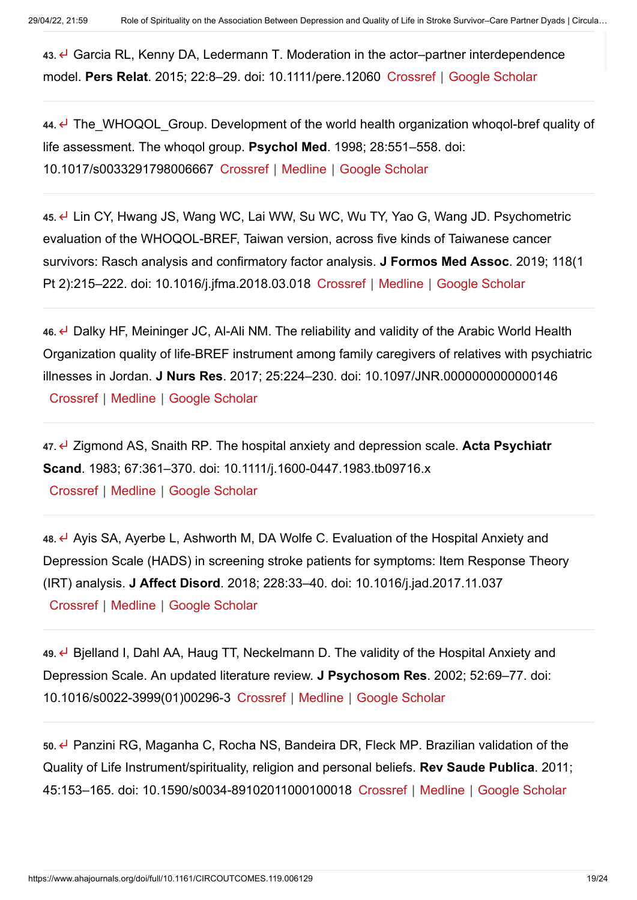**43.** Garcia RL, Kenny DA, Ledermann T. Moderation in the actor–partner interdependence model. **Pers Relat**. 2015; 22:8–29. doi: 10.1111/pere.12060 [Crossref](https://www.ahajournals.org/servlet/linkout?suffix=e_1_3_3_44_2&dbid=16&doi=10.1161%2FCIRCOUTCOMES.119.006129&key=10.1111%2Fpere.12060) | [Google Scholar](http://scholar.google.com/scholar_lookup?hl=en&volume=22&publication_year=2015&pages=8-29&journal=Pers+Relat&author=RL+Garcia&author=DA+Kenny&author=T+Ledermann&title=Moderation+in+the+actor%E2%80%93partner+interdependence+model.)

**44.** The\_WHOQOL\_Group. Development of the world health organization whoqol-bref quality of life assessment. The whoqol group. **Psychol Med**. 1998; 28:551–558. doi: 10.1017/s0033291798006667 [Crossref](https://www.ahajournals.org/servlet/linkout?suffix=e_1_3_3_45_2&dbid=16&doi=10.1161%2FCIRCOUTCOMES.119.006129&key=10.1017%2FS0033291798006667) | [Medline](https://www.ahajournals.org/servlet/linkout?suffix=e_1_3_3_45_2&dbid=8&doi=10.1161%2FCIRCOUTCOMES.119.006129&key=9626712) | [Google Scholar](http://scholar.google.com/scholar?hl=en&q=The_WHOQOL_Group.+Development+of+the+world+health+organization+whoqol-bref+quality+of+life+assessment.+The+whoqol+group.Psychol+Med.+1998%3B28%3A551%E2%80%93558.+doi%3A+10.1017%2Fs0033291798006667)

**45.** Lin CY, Hwang JS, Wang WC, Lai WW, Su WC, Wu TY, Yao G, Wang JD. Psychometric evaluation of the WHOQOL-BREF, Taiwan version, across five kinds of Taiwanese cancer survivors: Rasch analysis and confirmatory factor analysis. **J Formos Med Assoc**. 2019; 118(1 Pt 2):215–222. doi: 10.1016/j.jfma.2018.03.018 [Crossref](https://www.ahajournals.org/servlet/linkout?suffix=e_1_3_3_46_2&dbid=16&doi=10.1161%2FCIRCOUTCOMES.119.006129&key=10.1016%2Fj.jfma.2018.03.018) | [Medline](https://www.ahajournals.org/servlet/linkout?suffix=e_1_3_3_46_2&dbid=8&doi=10.1161%2FCIRCOUTCOMES.119.006129&key=29661488) | [Google Scholar](http://scholar.google.com/scholar_lookup?hl=en&volume=118&publication_year=2019&pages=215-222&journal=J+Formos+Med+Assoc&issue=1+Pt+2&author=CY+Lin&author=JS+Hwang&author=WC+Wang&author=WW+Lai&author=WC+Su&author=TY+Wu&author=G+Yao&author=JD+Wang&title=Psychometric+evaluation+of+the+WHOQOL-BREF%2C+Taiwan+version%2C+across+five+kinds+of+Taiwanese+cancer+survivors%3A+Rasch+analysis+and+confirmatory+factor+analysis.)

**46.** Dalky HF, Meininger JC, Al-Ali NM. The reliability and validity of the Arabic World Health Organization quality of life-BREF instrument among family caregivers of relatives with psychiatric illnesses in Jordan. **J Nurs Res**. 2017; 25:224–230. doi: 10.1097/JNR.0000000000000146 [Crossref](https://www.ahajournals.org/servlet/linkout?suffix=e_1_3_3_47_2&dbid=16&doi=10.1161%2FCIRCOUTCOMES.119.006129&key=10.1097%2FJNR.0000000000000146) | [Medline](https://www.ahajournals.org/servlet/linkout?suffix=e_1_3_3_47_2&dbid=8&doi=10.1161%2FCIRCOUTCOMES.119.006129&key=28481818) | [Google Scholar](http://scholar.google.com/scholar_lookup?hl=en&volume=25&publication_year=2017&pages=224-230&journal=J+Nurs+Res&author=HF+Dalky&author=JC+Meininger&author=NM+Al-Ali&title=The+reliability+and+validity+of+the+Arabic+World+Health+Organization+quality+of+life-BREF+instrument+among+family+caregivers+of+relatives+with+psychiatric+illnesses+in+Jordan.)

**47.** Zigmond AS, Snaith RP. The hospital anxiety and depression scale. **Acta Psychiatr Scand**. 1983; 67:361–370. doi: 10.1111/j.1600-0447.1983.tb09716.x [Crossref](https://www.ahajournals.org/servlet/linkout?suffix=e_1_3_3_48_2&dbid=16&doi=10.1161%2FCIRCOUTCOMES.119.006129&key=10.1111%2Fj.1600-0447.1983.tb09716.x) | [Medline](https://www.ahajournals.org/servlet/linkout?suffix=e_1_3_3_48_2&dbid=8&doi=10.1161%2FCIRCOUTCOMES.119.006129&key=6880820) | [Google Scholar](http://scholar.google.com/scholar_lookup?hl=en&volume=67&publication_year=1983&pages=361-370&journal=Acta+Psychiatr+Scand&author=AS+Zigmond&author=RP+Snaith&title=The+hospital+anxiety+and+depression+scale.)

**48.** Ayis SA, Ayerbe L, Ashworth M, DA Wolfe C. Evaluation of the Hospital Anxiety and Depression Scale (HADS) in screening stroke patients for symptoms: Item Response Theory (IRT) analysis. **J Affect Disord**. 2018; 228:33–40. doi: 10.1016/j.jad.2017.11.037 [Crossref](https://www.ahajournals.org/servlet/linkout?suffix=e_1_3_3_49_2&dbid=16&doi=10.1161%2FCIRCOUTCOMES.119.006129&key=10.1016%2Fj.jad.2017.11.037) | [Medline](https://www.ahajournals.org/servlet/linkout?suffix=e_1_3_3_49_2&dbid=8&doi=10.1161%2FCIRCOUTCOMES.119.006129&key=29202444) | [Google Scholar](http://scholar.google.com/scholar_lookup?hl=en&volume=228&publication_year=2018&pages=33-40&journal=J+Affect+Disord&author=SA+Ayis&author=L+Ayerbe&author=M+Ashworth&author=C+DA+Wolfe&title=Evaluation+of+the+Hospital+Anxiety+and+Depression+Scale+%28HADS%29+in+screening+stroke+patients+for+symptoms%3A+Item+Response+Theory+%28IRT%29+analysis.)

**49.** Bjelland I, Dahl AA, Haug TT, Neckelmann D. The validity of the Hospital Anxiety and Depression Scale. An updated literature review. **J Psychosom Res**. 2002; 52:69–77. doi: 10.1016/s0022-3999(01)00296-3 [Crossref](https://www.ahajournals.org/servlet/linkout?suffix=e_1_3_3_50_2&dbid=16&doi=10.1161%2FCIRCOUTCOMES.119.006129&key=10.1016%2FS0022-3999%2801%2900296-3) | [Medline](https://www.ahajournals.org/servlet/linkout?suffix=e_1_3_3_50_2&dbid=8&doi=10.1161%2FCIRCOUTCOMES.119.006129&key=11832252) | [Google Scholar](http://scholar.google.com/scholar_lookup?hl=en&volume=52&publication_year=2002&pages=69-77&journal=J+Psychosom+Res&author=I+Bjelland&author=AA+Dahl&author=TT+Haug&author=D+Neckelmann&title=The+validity+of+the+Hospital+Anxiety+and+Depression+Scale.+An+updated+literature+review.)

**50.** Panzini RG, Maganha C, Rocha NS, Bandeira DR, Fleck MP. Brazilian validation of the Quality of Life Instrument/spirituality, religion and personal beliefs. **Rev Saude Publica**. 2011; 45:153–165. doi: 10.1590/s0034-89102011000100018 [Crossref](https://www.ahajournals.org/servlet/linkout?suffix=e_1_3_3_51_2&dbid=16&doi=10.1161%2FCIRCOUTCOMES.119.006129&key=10.1590%2FS0034-89102011000100018) | [Medline](https://www.ahajournals.org/servlet/linkout?suffix=e_1_3_3_51_2&dbid=8&doi=10.1161%2FCIRCOUTCOMES.119.006129&key=21181054) | [Google Scholar](http://scholar.google.com/scholar_lookup?hl=en&volume=45&publication_year=2011&pages=153-165&journal=Rev+Saude+Publica&author=RG+Panzini&author=C+Maganha&author=NS+Rocha&author=DR+Bandeira&author=MP+Fleck&title=Brazilian+validation+of+the+Quality+of+Life+Instrument%2Fspirituality%2C+religion+and+personal+beliefs.)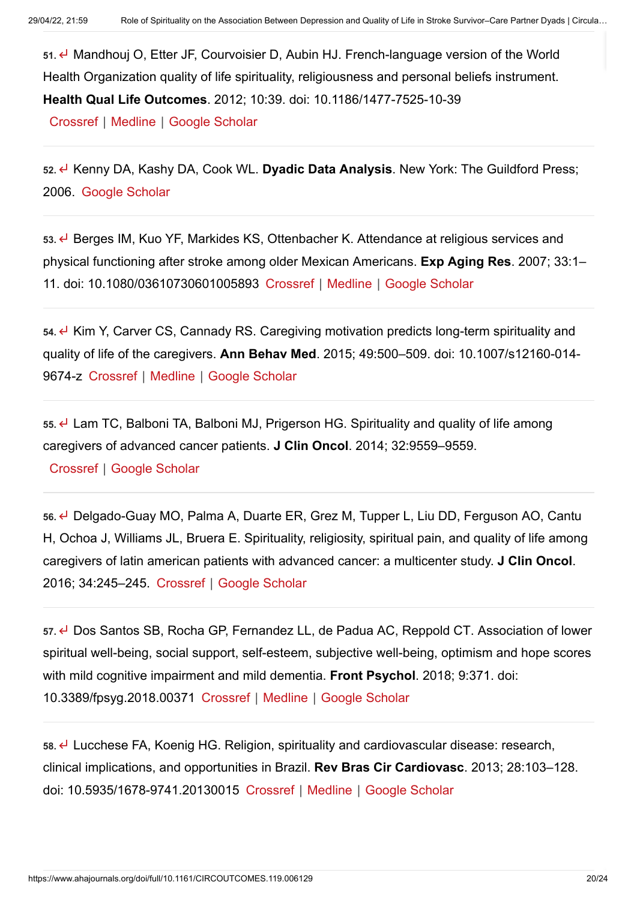**51.** Mandhouj O, Etter JF, Courvoisier D, Aubin HJ. French-language version of the World Health Organization quality of life spirituality, religiousness and personal beliefs instrument. **Health Qual Life Outcomes**. 2012; 10:39. doi: 10.1186/1477-7525-10-39

[Crossref](https://www.ahajournals.org/servlet/linkout?suffix=e_1_3_3_52_2&dbid=16&doi=10.1161%2FCIRCOUTCOMES.119.006129&key=10.1186%2F1477-7525-10-39) | [Medline](https://www.ahajournals.org/servlet/linkout?suffix=e_1_3_3_52_2&dbid=8&doi=10.1161%2FCIRCOUTCOMES.119.006129&key=22515747) | [Google Scholar](http://scholar.google.com/scholar_lookup?hl=en&volume=10&publication_year=2012&pages=39&journal=Health+Qual+Life+Outcomes&author=O+Mandhouj&author=JF+Etter&author=D+Courvoisier&author=HJ+Aubin&title=French-language+version+of+the+World+Health+Organization+quality+of+life+spirituality%2C+religiousness+and+personal+beliefs+instrument.)

**52.** Kenny DA, Kashy DA, Cook WL. **Dyadic Data Analysis**. New York: The Guildford Press; 2006. [Google Scholar](http://scholar.google.com/scholar_lookup?hl=en&publication_year=2006&author=DA+Kenny&author=DA+Kashy&author=WL+Cook&title=Dyadic+Data+Analysis)

53. ← Berges IM, Kuo YF, Markides KS, Ottenbacher K. Attendance at religious services and physical functioning after stroke among older Mexican Americans. **Exp Aging Res**. 2007; 33:1– 11. doi: 10.1080/03610730601005893 [Crossref](https://www.ahajournals.org/servlet/linkout?suffix=e_1_3_3_54_2&dbid=16&doi=10.1161%2FCIRCOUTCOMES.119.006129&key=10.1080%2F03610730601005893) | [Medline](https://www.ahajournals.org/servlet/linkout?suffix=e_1_3_3_54_2&dbid=8&doi=10.1161%2FCIRCOUTCOMES.119.006129&key=17132561) | [Google Scholar](http://scholar.google.com/scholar_lookup?hl=en&volume=33&publication_year=2007&pages=1-11&journal=Exp+Aging+Res&author=IM+Berges&author=YF+Kuo&author=KS+Markides&author=K+Ottenbacher&title=Attendance+at+religious+services+and+physical+functioning+after+stroke+among+older+Mexican+Americans.)

**54.** Kim Y, Carver CS, Cannady RS. Caregiving motivation predicts long-term spirituality and quality of life of the caregivers. **Ann Behav Med**. 2015; 49:500–509. doi: 10.1007/s12160-014- 9674-z [Crossref](https://www.ahajournals.org/servlet/linkout?suffix=e_1_3_3_55_2&dbid=16&doi=10.1161%2FCIRCOUTCOMES.119.006129&key=10.1007%2Fs12160-014-9674-z) | [Medline](https://www.ahajournals.org/servlet/linkout?suffix=e_1_3_3_55_2&dbid=8&doi=10.1161%2FCIRCOUTCOMES.119.006129&key=25637107) | [Google Scholar](http://scholar.google.com/scholar_lookup?hl=en&volume=49&publication_year=2015&pages=500-509&journal=Ann+Behav+Med&author=Y+Kim&author=CS+Carver&author=RS+Cannady&title=Caregiving+motivation+predicts+long-term+spirituality+and+quality+of+life+of+the+caregivers.)

**55.** Lam TC, Balboni TA, Balboni MJ, Prigerson HG. Spirituality and quality of life among caregivers of advanced cancer patients. **J Clin Oncol**. 2014; 32:9559–9559. [Crossref](https://www.ahajournals.org/servlet/linkout?suffix=e_1_3_3_56_2&dbid=16&doi=10.1161%2FCIRCOUTCOMES.119.006129&key=10.1200%2Fjco.2014.32.15_suppl.9559) | [Google Scholar](http://scholar.google.com/scholar_lookup?hl=en&volume=32&publication_year=2014&pages=9559-9559&journal=J+Clin+Oncol&author=TC+Lam&author=TA+Balboni&author=MJ+Balboni&author=HG+Prigerson&title=Spirituality+and+quality+of+life+among+caregivers+of+advanced+cancer+patients.)

**56.** Delgado-Guay MO, Palma A, Duarte ER, Grez M, Tupper L, Liu DD, Ferguson AO, Cantu H, Ochoa J, Williams JL, Bruera E. Spirituality, religiosity, spiritual pain, and quality of life among caregivers of latin american patients with advanced cancer: a multicenter study. **J Clin Oncol**. 2016; 34:245–245. [Crossref](https://www.ahajournals.org/servlet/linkout?suffix=e_1_3_3_57_2&dbid=16&doi=10.1161%2FCIRCOUTCOMES.119.006129&key=10.1200%2Fjco.2016.34.26_suppl.245) | [Google Scholar](http://scholar.google.com/scholar_lookup?hl=en&volume=34&publication_year=2016&pages=245-245&journal=J+Clin+Oncol&author=MO+Delgado-Guay&author=A+Palma&author=ER+Duarte&author=M+Grez&author=L+Tupper&author=DD+Liu&author=AO+Ferguson&author=H+Cantu&author=J+Ochoa&author=JL+Williams&author=E+Bruera&title=Spirituality%2C+religiosity%2C+spiritual+pain%2C+and+quality+of+life+among+caregivers+of+latin+american+patients+with+advanced+cancer%3A+a+multicenter+study.)

**57.** Dos Santos SB, Rocha GP, Fernandez LL, de Padua AC, Reppold CT. Association of lower spiritual well-being, social support, self-esteem, subjective well-being, optimism and hope scores with mild cognitive impairment and mild dementia. **Front Psychol**. 2018; 9:371. doi: 10.3389/fpsyg.2018.00371 [Crossref](https://www.ahajournals.org/servlet/linkout?suffix=e_1_3_3_58_2&dbid=16&doi=10.1161%2FCIRCOUTCOMES.119.006129&key=10.3389%2Ffpsyg.2018.00371) | [Medline](https://www.ahajournals.org/servlet/linkout?suffix=e_1_3_3_58_2&dbid=8&doi=10.1161%2FCIRCOUTCOMES.119.006129&key=29666594) | [Google Scholar](http://scholar.google.com/scholar_lookup?hl=en&volume=9&publication_year=2018&pages=371&journal=Front+Psychol&author=SB+Dos+Santos&author=GP+Rocha&author=LL+Fernandez&author=AC+de+Padua&author=CT+Reppold&title=Association+of+lower+spiritual+well-being%2C+social+support%2C+self-esteem%2C+subjective+well-being%2C+optimism+and+hope+scores+with+mild+cognitive+impairment+and+mild+dementia.)

**58.** Lucchese FA, Koenig HG. Religion, spirituality and cardiovascular disease: research, clinical implications, and opportunities in Brazil. **Rev Bras Cir Cardiovasc**. 2013; 28:103–128. doi: 10.5935/1678-9741.20130015 [Crossref](https://www.ahajournals.org/servlet/linkout?suffix=e_1_3_3_59_2&dbid=16&doi=10.1161%2FCIRCOUTCOMES.119.006129&key=10.5935%2F1678-9741.20130015) | [Medline](https://www.ahajournals.org/servlet/linkout?suffix=e_1_3_3_59_2&dbid=8&doi=10.1161%2FCIRCOUTCOMES.119.006129&key=23739939) | [Google Scholar](http://scholar.google.com/scholar_lookup?hl=en&volume=28&publication_year=2013&pages=103-128&journal=Rev+Bras+Cir+Cardiovasc&author=FA+Lucchese&author=HG+Koenig&title=Religion%2C+spirituality+and+cardiovascular+disease%3A+research%2C+clinical+implications%2C+and+opportunities+in+Brazil.)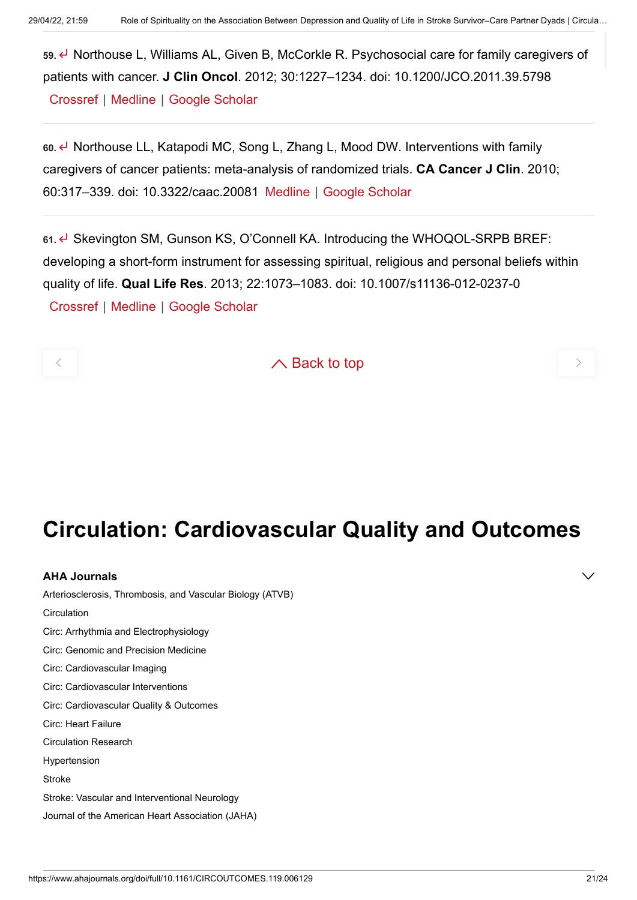**59.** Northouse L, Williams AL, Given B, McCorkle R. Psychosocial care for family caregivers of patients with cancer. **J Clin Oncol**. 2012; 30:1227–1234. doi: 10.1200/JCO.2011.39.5798 [Crossref](https://www.ahajournals.org/servlet/linkout?suffix=e_1_3_3_60_2&dbid=16&doi=10.1161%2FCIRCOUTCOMES.119.006129&key=10.1200%2FJCO.2011.39.5798) | [Medline](https://www.ahajournals.org/servlet/linkout?suffix=e_1_3_3_60_2&dbid=8&doi=10.1161%2FCIRCOUTCOMES.119.006129&key=22412124) | [Google Scholar](http://scholar.google.com/scholar_lookup?hl=en&volume=30&publication_year=2012&pages=1227-1234&journal=J+Clin+Oncol&author=L+Northouse&author=AL+Williams&author=B+Given&author=R+McCorkle&title=Psychosocial+care+for+family+caregivers+of+patients+with+cancer.)

**60.** Northouse LL, Katapodi MC, Song L, Zhang L, Mood DW. Interventions with family caregivers of cancer patients: meta-analysis of randomized trials. **CA Cancer J Clin**. 2010; 60:317–339. doi: 10.3322/caac.20081 [Medline](https://www.ahajournals.org/servlet/linkout?suffix=e_1_3_3_61_2&dbid=8&doi=10.1161%2FCIRCOUTCOMES.119.006129&key=20709946) | [Google Scholar](http://scholar.google.com/scholar_lookup?hl=en&volume=60&publication_year=2010&pages=317-339&journal=CA+Cancer+J+Clin&author=LL+Northouse&author=MC+Katapodi&author=L+Song&author=L+Zhang&author=DW+Mood&title=Interventions+with+family+caregivers+of+cancer+patients%3A+meta-analysis+of+randomized+trials.)

**61.** Skevington SM, Gunson KS, O'Connell KA. Introducing the WHOQOL-SRPB BREF: developing a short-form instrument for assessing spiritual, religious and personal beliefs within quality of life. **Qual Life Res**. 2013; 22:1073–1083. doi: 10.1007/s11136-012-0237-0 [Crossref](https://www.ahajournals.org/servlet/linkout?suffix=e_1_3_3_62_2&dbid=16&doi=10.1161%2FCIRCOUTCOMES.119.006129&key=10.1007%2Fs11136-012-0237-0) | [Medline](https://www.ahajournals.org/servlet/linkout?suffix=e_1_3_3_62_2&dbid=8&doi=10.1161%2FCIRCOUTCOMES.119.006129&key=22836375) | [Google Scholar](http://scholar.google.com/scholar_lookup?hl=en&volume=22&publication_year=2013&pages=1073-1083&journal=Qual+Life+Res&author=SM+Skevington&author=KS+Gunson&author=KA+O%E2%80%99Connell&title=Introducing+the+WHOQOL-SRPB+BREF%3A+developing+a+short-form+instrument+for+assessing+spiritual%2C+religious+and+personal+beliefs+within+quality+of+life.)

 $\land$  Back to top

# **Circulation: Cardiovascular Quality and Outcomes**

#### **AHA Journals**

[Arteriosclerosis, Thrombosis, and Vascular Biology \(ATVB\)](https://www.ahajournals.org/journal/atvb)

[Circulation](https://www.ahajournals.org/journal/circ)

[Circ: Arrhythmia and Electrophysiology](https://www.ahajournals.org/journal/circep)

[Circ: Genomic and Precision Medicine](https://www.ahajournals.org/journal/circgen)

[Circ: Cardiovascular Imaging](https://www.ahajournals.org/journal/circimaging)

[Circ: Cardiovascular Interventions](https://www.ahajournals.org/journal/circinterventions)

[Circ: Cardiovascular Quality & Outcomes](https://www.ahajournals.org/journal/circoutcomes)

[Circ: Heart Failure](https://www.ahajournals.org/journal/circheartfailure)

[Circulation Research](https://www.ahajournals.org/journal/res)

[Hypertension](https://www.ahajournals.org/journal/hyp)

[Stroke](https://www.ahajournals.org/journal/str)

[Stroke: Vascular and Interventional Neurology](https://www.ahajournals.org/journal/svin)

[Journal of the American Heart Association \(JAHA\)](https://www.ahajournals.org/journal/jaha)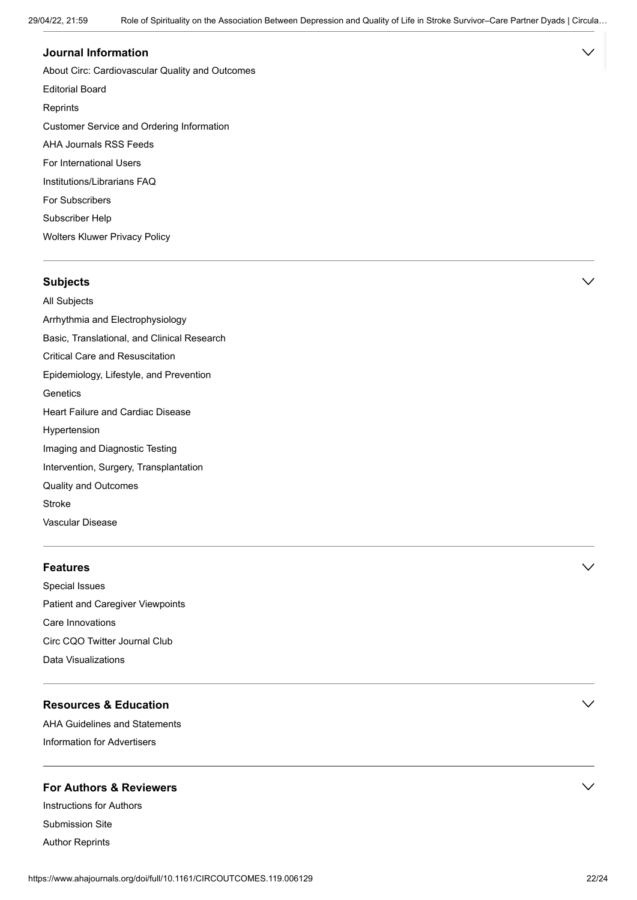#### **Journal Information**

[About Circ: Cardiovascular Quality and Outcomes](https://www.ahajournals.org/circoutcomes/about) [Editorial Board](https://www.ahajournals.org/circoutcomes/editorial-board) **[Reprints](https://www.ahajournals.org/commercial-reprints)** [Customer Service and Ordering Information](https://www.ahajournals.org/custserv) [AHA Journals RSS Feeds](https://www.ahajournals.org/feeds.jsp) [For International Users](https://www.ahajournals.org/international-users) [Institutions/Librarians FAQ](https://www.ahajournals.org/custserv/institutionalFAQ) [For Subscribers](https://www.ahajournals.org/custserv/subscribe) [Subscriber Help](https://www.ahajournals.org/custserv/help) [Wolters Kluwer Privacy Policy](https://journals.lww.com/_layouts/15/oaks.journals/privacy.aspx)

#### **Subjects**

[All Subjects](https://www.ahajournals.org/allSubjects) [Arrhythmia and Electrophysiology](https://www.ahajournals.org/browse/circoutcomes?taxonomyUri=hwp-journal-coll&tagUri=arel) [Basic, Translational, and Clinical Research](https://www.ahajournals.org/browse/circoutcomes?taxonomyUri=hwp-journal-coll&tagUri=btcr) [Critical Care and Resuscitation](https://www.ahajournals.org/browse/circoutcomes?taxonomyUri=hwp-journal-coll&tagUri=ccr) [Epidemiology, Lifestyle, and Prevention](https://www.ahajournals.org/browse/circoutcomes?taxonomyUri=hwp-journal-coll&tagUri=elp) **[Genetics](https://www.ahajournals.org/browse/circoutcomes?taxonomyUri=hwp-journal-coll&tagUri=gen)** [Heart Failure and Cardiac Disease](https://www.ahajournals.org/browse/circoutcomes?taxonomyUri=hwp-journal-coll&tagUri=hfcd) [Hypertension](https://www.ahajournals.org/browse/circoutcomes?taxonomyUri=hwp-journal-coll&tagUri=hyp) [Imaging and Diagnostic Testing](https://www.ahajournals.org/browse/circoutcomes?taxonomyUri=hwp-journal-coll&tagUri=idt) [Intervention, Surgery, Transplantation](https://www.ahajournals.org/browse/circoutcomes?taxonomyUri=hwp-journal-coll&tagUri=ist) [Quality and Outcomes](https://www.ahajournals.org/browse/circoutcomes?taxonomyUri=hwp-journal-coll&tagUri=qo) [Stroke](https://www.ahajournals.org/browse/circoutcomes?taxonomyUri=hwp-journal-coll&tagUri=str) [Vascular Disease](https://www.ahajournals.org/browse/circoutcomes?taxonomyUri=hwp-journal-coll&tagUri=vasc)

#### **Features**

[Special Issues](https://www.ahajournals.org/circoutcomes/special-issues) [Patient and Caregiver Viewpoints](https://www.ahajournals.org/browse/circoutcomes?taxonomyUri=features-menus&tagUri=circoutcomes-viewpoints) [Care Innovations](https://www.ahajournals.org/browse/circoutcomes?taxonomyUri=features-menus&tagUri=circoutcomes-innovations) [Circ CQO Twitter Journal Club](https://www.ahajournals.org/circoutcomes/cqo-twitter-journal-club) [Data Visualizations](https://www.ahajournals.org/browse/circoutcomes?taxonomyUri=features-menus&tagUri=circoutcomes-data-vis)

#### **Resources & Education**

[AHA Guidelines and Statements](https://professional.heart.org/en/guidelines-and-statements) [Information for Advertisers](https://www.wolterskluwer.com/en/solutions/lippincott-hcp-access/media-kits/circulation-cardiovascular-quality-and-outcomes)

#### **For Authors & Reviewers**

[Instructions for Authors](https://www.ahajournals.org/circoutcomes/author-instructions) [Submission Site](https://circoutcomes-submit.aha-journals.org/) [Author Reprints](https://www.ahajournals.org/author-reprints)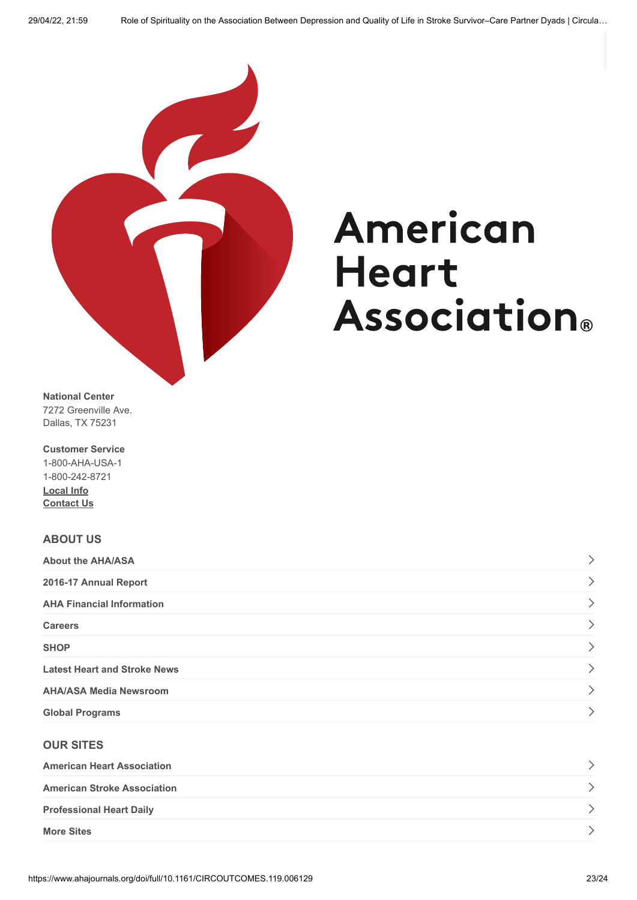

# American **Heart** Association®

**National Center** 7272 Greenville Ave. Dallas, TX 75231

**Customer Service** 1-800-AHA-USA-1 1-800-242-8721 **[Local Info](http://www.heart.org/HEARTORG/localization/chooseState.jsp) [Contact Us](http://www.heart.org/HEARTORG/General/Contact-Us_UCM_308813_Article.jsp#.V0iRafkrJpg)**

#### **ABOUT US**

| <b>About the AHA/ASA</b>            |  |
|-------------------------------------|--|
| 2016-17 Annual Report               |  |
| <b>AHA Financial Information</b>    |  |
| <b>Careers</b>                      |  |
| <b>SHOP</b>                         |  |
| <b>Latest Heart and Stroke News</b> |  |
| <b>AHA/ASA Media Newsroom</b>       |  |
| <b>Global Programs</b>              |  |

#### **OUR SITES**

| <b>American Heart Association</b>  |  |
|------------------------------------|--|
| <b>American Stroke Association</b> |  |
| <b>Professional Heart Daily</b>    |  |
| <b>More Sites</b>                  |  |